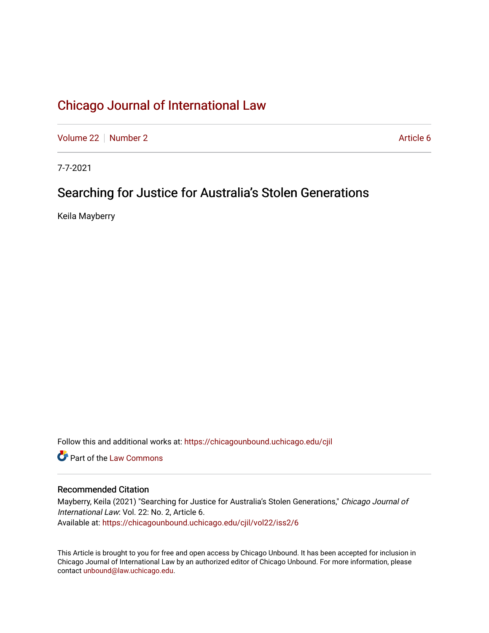[Volume 22](https://chicagounbound.uchicago.edu/cjil/vol22) [Number 2](https://chicagounbound.uchicago.edu/cjil/vol22/iss2) Article 6

7-7-2021

# Searching for Justice for Australia's Stolen Generations

Keila Mayberry

Follow this and additional works at: [https://chicagounbound.uchicago.edu/cjil](https://chicagounbound.uchicago.edu/cjil?utm_source=chicagounbound.uchicago.edu%2Fcjil%2Fvol22%2Fiss2%2F6&utm_medium=PDF&utm_campaign=PDFCoverPages)

**C** Part of the [Law Commons](https://network.bepress.com/hgg/discipline/578?utm_source=chicagounbound.uchicago.edu%2Fcjil%2Fvol22%2Fiss2%2F6&utm_medium=PDF&utm_campaign=PDFCoverPages)

# Recommended Citation

Mayberry, Keila (2021) "Searching for Justice for Australia's Stolen Generations," Chicago Journal of International Law: Vol. 22: No. 2, Article 6. Available at: [https://chicagounbound.uchicago.edu/cjil/vol22/iss2/6](https://chicagounbound.uchicago.edu/cjil/vol22/iss2/6?utm_source=chicagounbound.uchicago.edu%2Fcjil%2Fvol22%2Fiss2%2F6&utm_medium=PDF&utm_campaign=PDFCoverPages)

This Article is brought to you for free and open access by Chicago Unbound. It has been accepted for inclusion in Chicago Journal of International Law by an authorized editor of Chicago Unbound. For more information, please contact [unbound@law.uchicago.edu](mailto:unbound@law.uchicago.edu).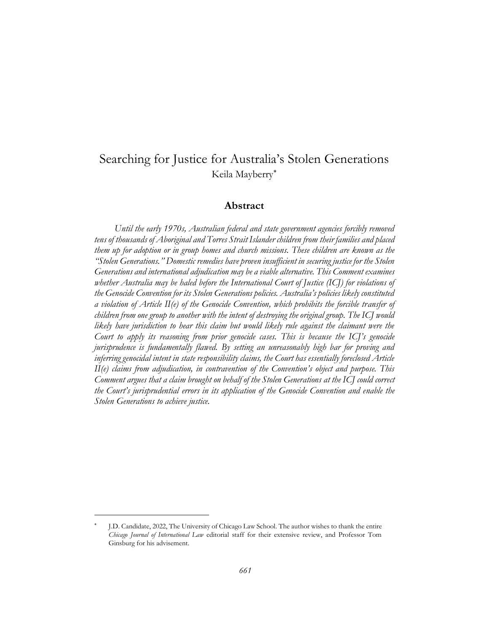# Searching for Justice for Australia's Stolen Generations Keila Mayberry

# **Abstract**

*Until the early 1970s, Australian federal and state government agencies forcibly removed tens of thousands of Aboriginal and Torres Strait Islander children from their families and placed them up for adoption or in group homes and church missions. These children are known as the "Stolen Generations." Domestic remedies have proven insufficient in securing justice for the Stolen Generations and international adjudication may be a viable alternative. This Comment examines whether Australia may be haled before the International Court of Justice (ICJ) for violations of the Genocide Convention for its Stolen Generations policies. Australia's policies likely constituted a violation of Article II(e) of the Genocide Convention, which prohibits the forcible transfer of children from one group to another with the intent of destroying the original group. The ICJ would likely have jurisdiction to hear this claim but would likely rule against the claimant were the Court to apply its reasoning from prior genocide cases. This is because the ICJ's genocide jurisprudence is fundamentally flawed. By setting an unreasonably high bar for proving and inferring genocidal intent in state responsibility claims, the Court has essentially foreclosed Article II(e) claims from adjudication, in contravention of the Convention's object and purpose. This Comment argues that a claim brought on behalf of the Stolen Generations at the ICJ could correct the Court's jurisprudential errors in its application of the Genocide Convention and enable the Stolen Generations to achieve justice.*

<sup>\*</sup> J.D. Candidate, 2022, The University of Chicago Law School. The author wishes to thank the entire *Chicago Journal of International Law* editorial staff for their extensive review, and Professor Tom Ginsburg for his advisement.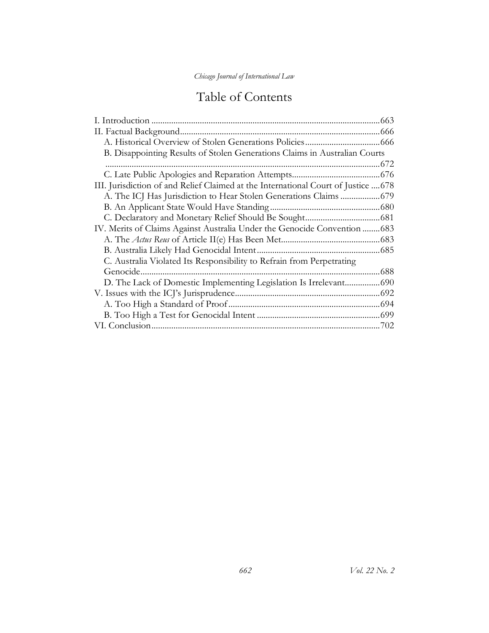# Table of Contents

|                                                                                    | .663 |
|------------------------------------------------------------------------------------|------|
|                                                                                    |      |
|                                                                                    |      |
| B. Disappointing Results of Stolen Generations Claims in Australian Courts         |      |
|                                                                                    |      |
|                                                                                    |      |
| III. Jurisdiction of and Relief Claimed at the International Court of Justice  678 |      |
|                                                                                    |      |
|                                                                                    |      |
|                                                                                    |      |
| IV. Merits of Claims Against Australia Under the Genocide Convention  683          |      |
|                                                                                    |      |
|                                                                                    |      |
| C. Australia Violated Its Responsibility to Refrain from Perpetrating              |      |
| Genocide.                                                                          | .688 |
|                                                                                    |      |
|                                                                                    |      |
|                                                                                    |      |
|                                                                                    |      |
|                                                                                    |      |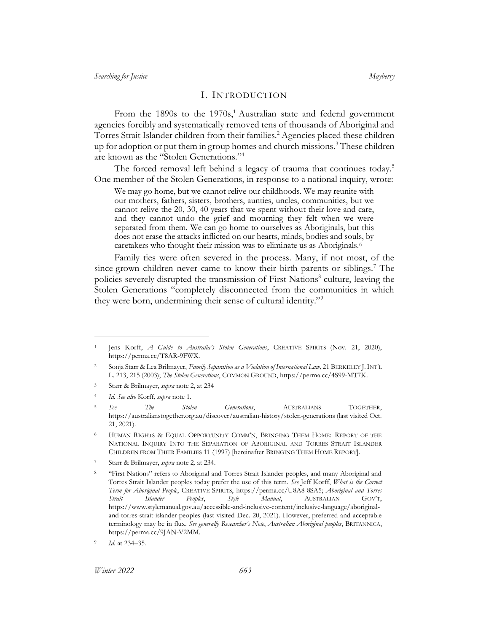### <span id="page-3-3"></span><span id="page-3-2"></span><span id="page-3-1"></span>I. INTRODUCTION

<span id="page-3-0"></span>From the 1890s to the 1970s,<sup>1</sup> Australian state and federal government agencies forcibly and systematically removed tens of thousands of Aboriginal and Torres Strait Islander children from their families.<sup>2</sup> Agencies placed these children up for adoption or put them in group homes and church missions.<sup>3</sup> These children are known as the "Stolen Generations." 4

The forced removal left behind a legacy of trauma that continues today.<sup>5</sup> One member of the Stolen Generations, in response to a national inquiry, wrote:

We may go home, but we cannot relive our childhoods. We may reunite with our mothers, fathers, sisters, brothers, aunties, uncles, communities, but we cannot relive the 20, 30, 40 years that we spent without their love and care, and they cannot undo the grief and mourning they felt when we were separated from them. We can go home to ourselves as Aboriginals, but this does not erase the attacks inflicted on our hearts, minds, bodies and souls, by caretakers who thought their mission was to eliminate us as Aboriginals.<sup>6</sup>

Family ties were often severed in the process. Many, if not most, of the since-grown children never came to know their birth parents or siblings.<sup>7</sup> The policies severely disrupted the transmission of First Nations<sup>8</sup> culture, leaving the Stolen Generations "completely disconnected from the communities in which they were born, undermining their sense of cultural identity."<sup>9</sup>

*Winter 2022 663*

<sup>1</sup> Jens Korff, *A Guide to Australia's Stolen Generations*, CREATIVE SPIRITS (Nov. 21, 2020), https://perma.cc/T8AR-9FWX.

<sup>2</sup> Sonja Starr & Lea Brilmayer, *Family Separation as a Violation of International Law,* 21 BERKELEY J.INT'L L. 213, 215 (2003); *The Stolen Generations*, COMMON GROUND, https://perma.cc/4S99-MT7K.

<sup>3</sup> Starr & Brilmayer, *supra* not[e 2,](#page-3-1) at 234

<sup>4</sup> *Id. See also* Korff, *supra* not[e 1.](#page-3-2) 

<sup>5</sup> *See The Stolen Generations*, AUSTRALIANS TOGETHER, https://australianstogether.org.au/discover/australian-history/stolen-generations (last visited Oct. 21, 2021).

HUMAN RIGHTS & EQUAL OPPORTUNITY COMM'N, BRINGING THEM HOME: REPORT OF THE NATIONAL INQUIRY INTO THE SEPARATION OF ABORIGINAL AND TORRES STRAIT ISLANDER CHILDREN FROM THEIR FAMILIES 11 (1997) [hereinafter BRINGING THEM HOME REPORT].

<sup>7</sup> Starr & Brilmayer, *supra* not[e 2](#page-3-1)*,* at 234.

<sup>8</sup> "First Nations" refers to Aboriginal and Torres Strait Islander peoples, and many Aboriginal and Torres Strait Islander peoples today prefer the use of this term. *See* Jeff Korff, *What is the Correct Term for Aboriginal People*, CREATIVE SPIRITS, https://perma.cc/U8A8-8SA5; *Aboriginal and Torres Strait Islander Peoples*, *Style Manual*, AUSTRALIAN GOV'T, https://www.stylemanual.gov.au/accessible-and-inclusive-content/inclusive-language/aboriginaland-torres-strait-islander-peoples (last visited Dec. 20, 2021). However, preferred and acceptable terminology may be in flux. *See generally Researcher's Note*, *Australian Aboriginal peoples*, BRITANNICA, https://perma.cc/9JAN-V2MM.

<sup>9</sup> *Id.* at 234–35.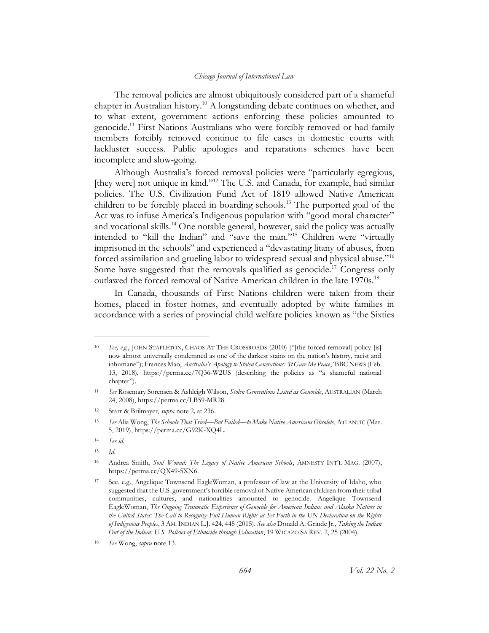<span id="page-4-1"></span>The removal policies are almost ubiquitously considered part of a shameful chapter in Australian history.<sup>10</sup> A longstanding debate continues on whether, and to what extent, government actions enforcing these policies amounted to genocide.<sup>11</sup> First Nations Australians who were forcibly removed or had family members forcibly removed continue to file cases in domestic courts with lackluster success. Public apologies and reparations schemes have been incomplete and slow-going.

<span id="page-4-0"></span>Although Australia's forced removal policies were "particularly egregious, [they were] not unique in kind."<sup>12</sup> The U.S. and Canada, for example, had similar policies. The U.S. Civilization Fund Act of 1819 allowed Native American children to be forcibly placed in boarding schools.<sup>13</sup> The purported goal of the Act was to infuse America's Indigenous population with "good moral character" and vocational skills.<sup>14</sup> One notable general, however, said the policy was actually intended to "kill the Indian" and "save the man."<sup>15</sup> Children were "virtually imprisoned in the schools" and experienced a "devastating litany of abuses, from forced assimilation and grueling labor to widespread sexual and physical abuse."<sup>16</sup> Some have suggested that the removals qualified as genocide.<sup>17</sup> Congress only outlawed the forced removal of Native American children in the late 1970s.<sup>18</sup>

In Canada, thousands of First Nations children were taken from their homes, placed in foster homes, and eventually adopted by white families in accordance with a series of provincial child welfare policies known as "the Sixties

<sup>10</sup> *See, e.g.*, JOHN STAPLETON, CHAOS AT THE CROSSROADS (2010) ("[the forced removal] policy [is] now almost universally condemned as one of the darkest stains on the nation's history, racist and inhumane"); Frances Mao, *Australia's Apology to Stolen Generations: 'It Gave Me Peace*,*'* BBC NEWS (Feb. 13, 2018), https://perma.cc/7Q36-W2US (describing the policies as "a shameful national chapter").

<sup>11</sup> *See* Rosemary Sorensen & Ashleigh Wilson, *Stolen Generations Listed as Genocide*, AUSTRALIAN (March 24, 2008), https://perma.cc/LB59-MR28.

<sup>12</sup> Starr & Brilmayer, *supra* not[e 2](#page-3-1)*,* at 236.

<sup>13</sup> *See* Alia Wong, *The Schools That Tried—But Failed—to Make Native Americans Obsolete*, ATLANTIC (Mar. 5, 2019), https://perma.cc/G92K-XQ4L.

<sup>14</sup> *See id.*

<sup>15</sup> *Id*.

<sup>16</sup> Andrea Smith, *Soul Wound: The Legacy of Native American Schools*, AMNESTY INT'L MAG. (2007), https://perma.cc/QX49-5XN6.

<sup>17</sup> See, e.g., Angelique Townsend EagleWoman, a professor of law at the University of Idaho, who suggested that the U.S. government's forcible removal of Native American children from their tribal communities, cultures, and nationalities amounted to genocide. Angelique Townsend EagleWoman, *The Ongoing Traumatic Experience of Genocide for American Indians and Alaska Natives in the United States: The Call to Recognize Full Human Rights as Set Forth in the UN Declaration on the Rights of Indigenous Peoples*, 3 AM.INDIAN L.J. 424, 445 (2015). *See also* Donald A. Grinde Jr., *Taking the Indian Out of the Indian: U.S. Policies of Ethnocide through Education*, 19 WICAZO SA REV. 2, 25 (2004).

<sup>18</sup> *See* Wong, *supra* note [13.](#page-4-0)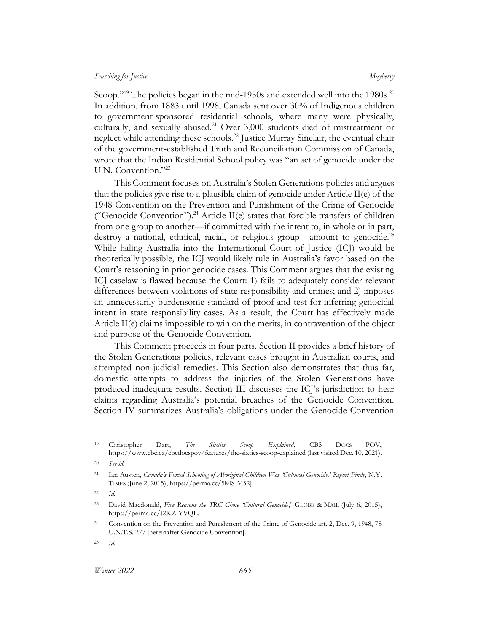Scoop."<sup>19</sup> The policies began in the mid-1950s and extended well into the 1980s.<sup>20</sup> In addition, from 1883 until 1998, Canada sent over 30% of Indigenous children to government-sponsored residential schools, where many were physically, culturally, and sexually abused.<sup>21</sup> Over  $3,000$  students died of mistreatment or neglect while attending these schools.<sup>22</sup> Justice Murray Sinclair, the eventual chair of the government-established Truth and Reconciliation Commission of Canada, wrote that the Indian Residential School policy was "an act of genocide under the U.N. Convention."23

<span id="page-5-0"></span>This Comment focuses on Australia's Stolen Generations policies and argues that the policies give rise to a plausible claim of genocide under Article II(e) of the 1948 Convention on the Prevention and Punishment of the Crime of Genocide ("Genocide Convention").<sup>24</sup> Article II(e) states that forcible transfers of children from one group to another—if committed with the intent to, in whole or in part, destroy a national, ethnical, racial, or religious group—amount to genocide.<sup>25</sup> While haling Australia into the International Court of Justice (ICJ) would be theoretically possible, the ICJ would likely rule in Australia's favor based on the Court's reasoning in prior genocide cases. This Comment argues that the existing ICJ caselaw is flawed because the Court: 1) fails to adequately consider relevant differences between violations of state responsibility and crimes; and 2) imposes an unnecessarily burdensome standard of proof and test for inferring genocidal intent in state responsibility cases. As a result, the Court has effectively made Article II(e) claims impossible to win on the merits, in contravention of the object and purpose of the Genocide Convention.

This Comment proceeds in four parts. Section II provides a brief history of the Stolen Generations policies, relevant cases brought in Australian courts, and attempted non-judicial remedies. This Section also demonstrates that thus far, domestic attempts to address the injuries of the Stolen Generations have produced inadequate results. Section III discusses the ICJ's jurisdiction to hear claims regarding Australia's potential breaches of the Genocide Convention. Section IV summarizes Australia's obligations under the Genocide Convention

<sup>19</sup> Christopher Dart, *The Sixties Scoop Explained*, CBS DOCS POV, https://www.cbc.ca/cbcdocspov/features/the-sixties-scoop-explained (last visited Dec. 10, 2021).

<sup>20</sup> *See id.*

<sup>21</sup> Ian Austen, *Canada's Forced Schooling of Aboriginal Children Was 'Cultural Genocide,' Report Finds*, N.Y. TIMES (June 2, 2015), https://perma.cc/584S-M52J.

<sup>22</sup> *Id.*

<sup>23</sup> David Macdonald, *Five Reasons the TRC Chose 'Cultural Genocide*,' GLOBE & MAIL (July 6, 2015), https://perma.cc/J2KZ-YVQL.

<sup>24</sup> Convention on the Prevention and Punishment of the Crime of Genocide art. 2, Dec. 9, 1948, 78 U.N.T.S. 277 [hereinafter Genocide Convention].

<sup>25</sup> *Id.*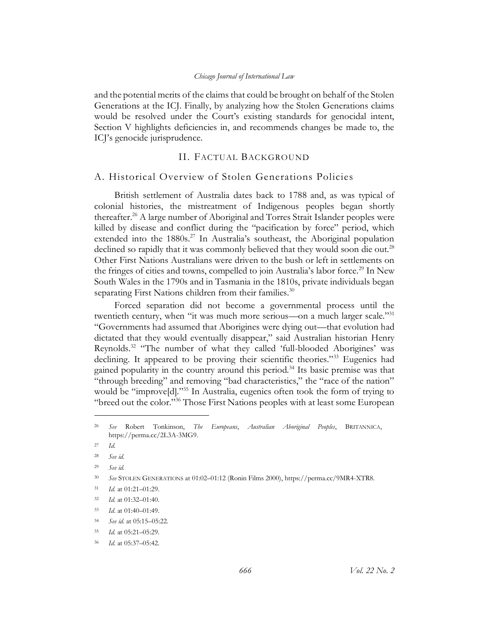and the potential merits of the claims that could be brought on behalf of the Stolen Generations at the ICJ. Finally, by analyzing how the Stolen Generations claims would be resolved under the Court's existing standards for genocidal intent, Section V highlights deficiencies in, and recommends changes be made to, the ICJ's genocide jurisprudence.

# <span id="page-6-2"></span>II. FACTUAL BACKGROUND

# <span id="page-6-1"></span><span id="page-6-0"></span>A. Historical Overview of Stolen Generations Policies

British settlement of Australia dates back to 1788 and, as was typical of colonial histories, the mistreatment of Indigenous peoples began shortly thereafter.<sup>26</sup> A large number of Aboriginal and Torres Strait Islander peoples were killed by disease and conflict during the "pacification by force" period, which extended into the  $1880s^{27}$  In Australia's southeast, the Aboriginal population declined so rapidly that it was commonly believed that they would soon die out.<sup>28</sup> Other First Nations Australians were driven to the bush or left in settlements on the fringes of cities and towns, compelled to join Australia's labor force.<sup>29</sup> In New South Wales in the 1790s and in Tasmania in the 1810s, private individuals began separating First Nations children from their families. $30$ 

Forced separation did not become a governmental process until the twentieth century, when "it was much more serious—on a much larger scale."<sup>31</sup> "Governments had assumed that Aborigines were dying out—that evolution had dictated that they would eventually disappear," said Australian historian Henry Reynolds.<sup>32</sup> "The number of what they called 'full-blooded Aborigines' was declining. It appeared to be proving their scientific theories."<sup>33</sup> Eugenics had gained popularity in the country around this period.<sup>34</sup> Its basic premise was that "through breeding" and removing "bad characteristics," the "race of the nation" would be "improve[d]."<sup>35</sup> In Australia, eugenics often took the form of trying to "breed out the color."<sup>36</sup> Those First Nations peoples with at least some European

<sup>26</sup> *See* Robert Tonkinson, *The Europeans*, *Australian Aboriginal Peoples*, BRITANNICA, https://perma.cc/2L3A-3MG9.

<sup>27</sup> *Id.*

<sup>28</sup> *See id.*

<sup>29</sup> *See id.*

<sup>30</sup> *See* STOLEN GENERATIONS at 01:02–01:12 (Ronin Films 2000), https://perma.cc/9MR4-XTR8.

<sup>31</sup> *Id.* at 01:21–01:29.

<sup>32</sup> *Id.* at 01:32–01:40.

<sup>33</sup> *Id*. at 01:40–01:49.

<sup>34</sup> *See id.* at 05:15–05:22.

<sup>35</sup> *Id*. at 05:21–05:29.

<sup>36</sup> *Id*. at 05:37–05:42.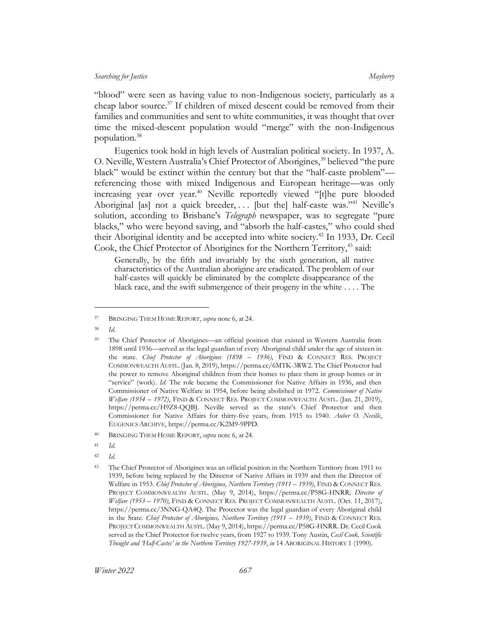"blood" were seen as having value to non-Indigenous society, particularly as a cheap labor source.<sup>37</sup> If children of mixed descent could be removed from their families and communities and sent to white communities, it was thought that over time the mixed-descent population would "merge" with the non-Indigenous population.<sup>38</sup>

Eugenics took hold in high levels of Australian political society. In 1937, A. O. Neville, Western Australia's Chief Protector of Aborigines,<sup>39</sup> believed "the pure black" would be extinct within the century but that the "half-caste problem" referencing those with mixed Indigenous and European heritage—was only increasing year over year.<sup>40</sup> Neville reportedly viewed "[t]he pure blooded Aboriginal [as] not a quick breeder, ... [but the] half-caste was."<sup>41</sup> Neville's solution, according to Brisbane's *Telegraph* newspaper, was to segregate "pure blacks," who were beyond saving, and "absorb the half-castes," who could shed their Aboriginal identity and be accepted into white society.<sup>42</sup> In 1933, Dr. Cecil Cook, the Chief Protector of Aborigines for the Northern Territory,<sup>43</sup> said:

Generally, by the fifth and invariably by the sixth generation, all native characteristics of the Australian aborigine are eradicated. The problem of our half-castes will quickly be eliminated by the complete disappearance of the black race, and the swift submergence of their progeny in the white . . . . The

<sup>38</sup> *Id*.

<sup>42</sup> *Id.*

<sup>37</sup> BRINGING THEM HOME REPORT, *supra* not[e 6,](#page-3-3) at 24.

<sup>39</sup> The Chief Protector of Aborigines—an official position that existed in Western Australia from 1898 until 1936—served as the legal guardian of every Aboriginal child under the age of sixteen in the state. *Chief Protector of Aborigines (1898 – 1936)*, FIND & CONNECT RES. PROJECT COMMONWEALTH AUSTL. (Jan. 8, 2019), https://perma.cc/6MTK-3RW2. The Chief Protector had the power to remove Aboriginal children from their homes to place them in group homes or in "service" (work). *Id.* The role became the Commissioner for Native Affairs in 1936, and then Commissioner of Native Welfare in 1954, before being abolished in 1972. *Commissioner of Native Welfare (1954 – 1972)*, FIND & CONNECT RES. PROJECT COMMONWEALTH AUSTL. (Jan. 21, 2019), https://perma.cc/H9Z8-QQBJ. Neville served as the state's Chief Protector and then Commissioner for Native Affairs for thirty-five years, from 1915 to 1940. *Auber O. Neville*, EUGENICS ARCHIVE, https://perma.cc/K2M9-9PPD.

<sup>40</sup> BRINGING THEM HOME REPORT, *supra* note [6,](#page-3-3) at 24.

<sup>41</sup> *Id.*

<sup>43</sup> The Chief Protector of Aborigines was an official position in the Northern Territory from 1911 to 1939, before being replaced by the Director of Native Affairs in 1939 and then the Director of Welfare in 1953. *Chief Protector of Aborigines, Northern Territory (1911 – 1939)*, FIND & CONNECT RES. PROJECT COMMONWEALTH AUSTL. (May 9, 2014), https://perma.cc/P58G-HNRR; *Director of Welfare (1953 – 1970)*, FIND & CONNECT RES. PROJECT COMMONWEALTH AUSTL. (Oct. 11, 2017), https://perma.cc/3NNG-QA4Q. The Protector was the legal guardian of every Aboriginal child in the State. *Chief Protector of Aborigines, Northern Territory (1911 - 1939)*, FIND & CONNECT RES. PROJECT COMMONWEALTH AUSTL. (May 9, 2014), https://perma.cc/P58G-HNRR. Dr. Cecil Cook served as the Chief Protector for twelve years, from 1927 to 1939. Tony Austin, *Cecil Cook, Scientific Thought and 'Half-Castes' in the Northern Territory 1927-1939*, *in* 14 ABORIGINAL HISTORY 1 (1990).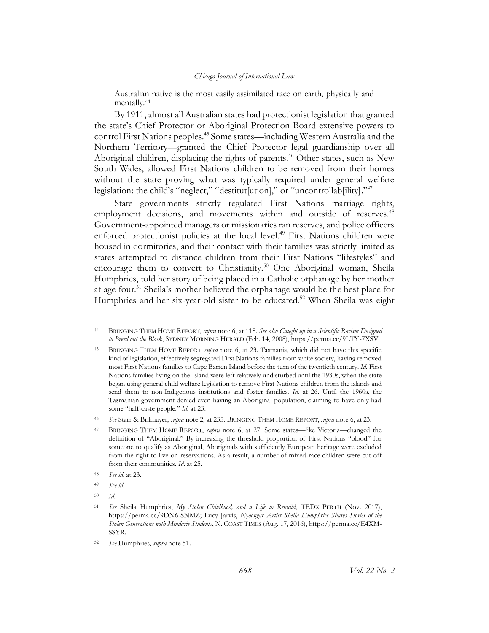Australian native is the most easily assimilated race on earth, physically and mentally.<sup>44</sup>

By 1911, almost all Australian states had protectionist legislation that granted the state's Chief Protector or Aboriginal Protection Board extensive powers to control First Nations peoples. <sup>45</sup> Some states—including Western Australia and the Northern Territory—granted the Chief Protector legal guardianship over all Aboriginal children, displacing the rights of parents.<sup>46</sup> Other states, such as New South Wales, allowed First Nations children to be removed from their homes without the state proving what was typically required under general welfare legislation: the child's "neglect," "destitut[ution]," or "uncontrollab[ility]."<sup>47</sup>

State governments strictly regulated First Nations marriage rights, employment decisions, and movements within and outside of reserves.<sup>48</sup> Government-appointed managers or missionaries ran reserves, and police officers enforced protectionist policies at the local level.<sup>49</sup> First Nations children were housed in dormitories, and their contact with their families was strictly limited as states attempted to distance children from their First Nations "lifestyles" and encourage them to convert to Christianity.<sup>50</sup> One Aboriginal woman, Sheila Humphries, told her story of being placed in a Catholic orphanage by her mother at age four.<sup>51</sup> Sheila's mother believed the orphanage would be the best place for Humphries and her six-year-old sister to be educated.<sup>52</sup> When Sheila was eight

<span id="page-8-0"></span><sup>44</sup> BRINGING THEM HOME REPORT, *supra* not[e 6,](#page-3-3) at 118. *See also Caught up in a Scientific Racism Designed to Breed out the Black*, SYDNEY MORNING HERALD (Feb. 14, 2008), https://perma.cc/9LTY-7XSV.

<sup>45</sup> BRINGING THEM HOME REPORT, *supra* note [6,](#page-3-3) at 23. Tasmania, which did not have this specific kind of legislation, effectively segregated First Nations families from white society, having removed most First Nations families to Cape Barren Island before the turn of the twentieth century. *Id.* First Nations families living on the Island were left relatively undisturbed until the 1930s, when the state began using general child welfare legislation to remove First Nations children from the islands and send them to non-Indigenous institutions and foster families. *Id.* at 26. Until the 1960s, the Tasmanian government denied even having an Aboriginal population, claiming to have only had some "half-caste people." *Id.* at 23.

<sup>46</sup> *See* Starr & Brilmayer, *supra* not[e 2,](#page-3-1) at 235. BRINGING THEM HOME REPORT, *supra* not[e 6,](#page-3-3) at 23.

<sup>47</sup> BRINGING THEM HOME REPORT, *supra* note [6,](#page-3-3) at 27. Some states—like Victoria—changed the definition of "Aboriginal." By increasing the threshold proportion of First Nations "blood" for someone to qualify as Aboriginal, Aboriginals with sufficiently European heritage were excluded from the right to live on reservations. As a result, a number of mixed-race children were cut off from their communities. *Id.* at 25.

<sup>48</sup> *See id.* at 23.

<sup>49</sup> *See id.*

<sup>50</sup> *Id.*

<sup>51</sup> *See* Sheila Humphries, *My Stolen Childhood, and a Life to Rebuild*, TEDX PERTH (Nov. 2017), https://perma.cc/9DN6-SNMZ; Lucy Jarvis, *Nyoongar Artist Sheila Humphries Shares Stories of the Stolen Generations with Mindarie Students*, N. COAST TIMES (Aug. 17, 2016), https://perma.cc/E4XM-SSYR.

<sup>52</sup> *See* Humphries, *supra* note [51.](#page-8-0)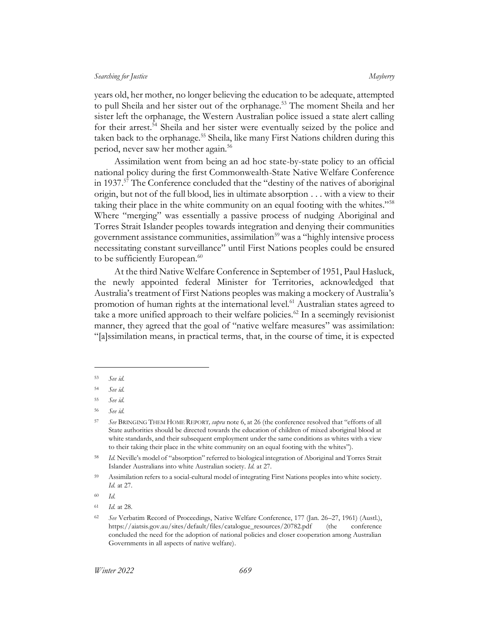years old, her mother, no longer believing the education to be adequate, attempted to pull Sheila and her sister out of the orphanage.<sup>53</sup> The moment Sheila and her sister left the orphanage, the Western Australian police issued a state alert calling for their arrest.<sup>54</sup> Sheila and her sister were eventually seized by the police and taken back to the orphanage.<sup>55</sup> Sheila, like many First Nations children during this period, never saw her mother again.<sup>56</sup>

Assimilation went from being an ad hoc state-by-state policy to an official national policy during the first Commonwealth-State Native Welfare Conference in 1937.<sup>57</sup> The Conference concluded that the "destiny of the natives of aboriginal origin, but not of the full blood, lies in ultimate absorption . . . with a view to their taking their place in the white community on an equal footing with the whites."<sup>58</sup> Where "merging" was essentially a passive process of nudging Aboriginal and Torres Strait Islander peoples towards integration and denying their communities government assistance communities, assimilation<sup>59</sup> was a "highly intensive process necessitating constant surveillance" until First Nations peoples could be ensured to be sufficiently European.<sup>60</sup>

At the third Native Welfare Conference in September of 1951, Paul Hasluck, the newly appointed federal Minister for Territories, acknowledged that Australia's treatment of First Nations peoples was making a mockery of Australia's promotion of human rights at the international level.<sup>61</sup> Australian states agreed to take a more unified approach to their welfare policies.<sup>62</sup> In a seemingly revisionist manner, they agreed that the goal of "native welfare measures" was assimilation: "[a]ssimilation means, in practical terms, that, in the course of time, it is expected

<sup>53</sup> *See id.*

<sup>54</sup> *See id.*

<sup>55</sup> *See id.*

<sup>56</sup> *See id.*

<sup>57</sup> *See* BRINGING THEM HOME REPORT*, supra* not[e 6](#page-3-3), at 26 (the conference resolved that "efforts of all State authorities should be directed towards the education of children of mixed aboriginal blood at white standards, and their subsequent employment under the same conditions as whites with a view to their taking their place in the white community on an equal footing with the whites").

<sup>58</sup> *Id.* Neville's model of "absorption" referred to biological integration of Aboriginal and Torres Strait Islander Australians into white Australian society. *Id.* at 27.

<sup>&</sup>lt;sup>59</sup> Assimilation refers to a social-cultural model of integrating First Nations peoples into white society. *Id.* at 27.

<sup>60</sup> *Id.*

<sup>61</sup> *Id.* at 28.

<sup>62</sup> *See* Verbatim Record of Proceedings, Native Welfare Conference, 177 (Jan. 26–27, 1961) (Austl.), https://aiatsis.gov.au/sites/default/files/catalogue\_resources/20782.pdf (the conference concluded the need for the adoption of national policies and closer cooperation among Australian Governments in all aspects of native welfare).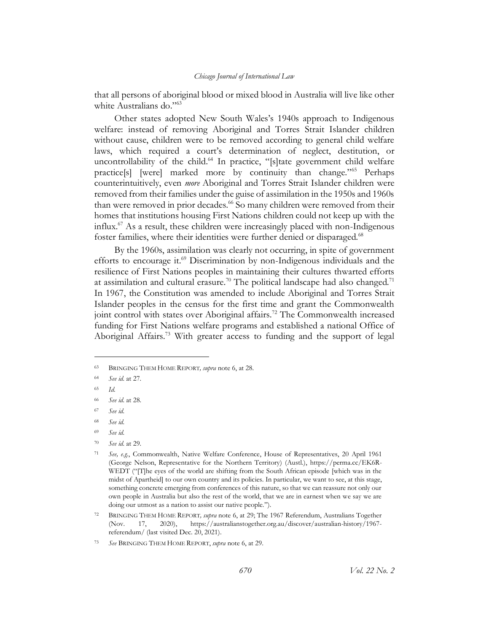that all persons of aboriginal blood or mixed blood in Australia will live like other white Australians do."<sup>63</sup>

Other states adopted New South Wales's 1940s approach to Indigenous welfare: instead of removing Aboriginal and Torres Strait Islander children without cause, children were to be removed according to general child welfare laws, which required a court's determination of neglect, destitution, or uncontrollability of the child. <sup>64</sup> In practice, "[s]tate government child welfare practice[s] [were] marked more by continuity than change."<sup>65</sup> Perhaps counterintuitively, even *more* Aboriginal and Torres Strait Islander children were removed from their families under the guise of assimilation in the 1950s and 1960s than were removed in prior decades.<sup>66</sup> So many children were removed from their homes that institutions housing First Nations children could not keep up with the influx.<sup>67</sup> As a result, these children were increasingly placed with non-Indigenous foster families, where their identities were further denied or disparaged.<sup>68</sup>

By the 1960s, assimilation was clearly not occurring, in spite of government efforts to encourage it.<sup>69</sup> Discrimination by non-Indigenous individuals and the resilience of First Nations peoples in maintaining their cultures thwarted efforts at assimilation and cultural erasure.<sup>70</sup> The political landscape had also changed.<sup>71</sup> In 1967, the Constitution was amended to include Aboriginal and Torres Strait Islander peoples in the census for the first time and grant the Commonwealth joint control with states over Aboriginal affairs.<sup>72</sup> The Commonwealth increased funding for First Nations welfare programs and established a national Office of Aboriginal Affairs.<sup>73</sup> With greater access to funding and the support of legal

<sup>69</sup> *See id.*

<sup>63</sup> BRINGING THEM HOME REPORT*, supra* not[e 6,](#page-3-3) at 28.

<sup>64</sup> *See id.* at 27.

<sup>65</sup> *Id.*

<sup>66</sup> *See id.* at 28.

<sup>67</sup> *See id.*

<sup>68</sup> *See id.*

<sup>70</sup> *See id.* at 29.

<sup>71</sup> *See, e.g.*, Commonwealth, Native Welfare Conference, House of Representatives, 20 April 1961 (George Nelson, Representative for the Northern Territory) (Austl.), https://perma.cc/EK6R-WEDT ("[T]he eyes of the world are shifting from the South African episode [which was in the midst of Apartheid] to our own country and its policies. In particular, we want to see, at this stage, something concrete emerging from conferences of this nature, so that we can reassure not only our own people in Australia but also the rest of the world, that we are in earnest when we say we are doing our utmost as a nation to assist our native people.").

<sup>72</sup> BRINGING THEM HOME REPORT*, supra* not[e 6,](#page-3-3) at 29; The 1967 Referendum, Australians Together (Nov. 17, 2020), https://australianstogether.org.au/discover/australian-history/1967 referendum/ (last visited Dec. 20, 2021).

<sup>73</sup> *See* BRINGING THEM HOME REPORT, *supra* not[e 6,](#page-3-3) at 29.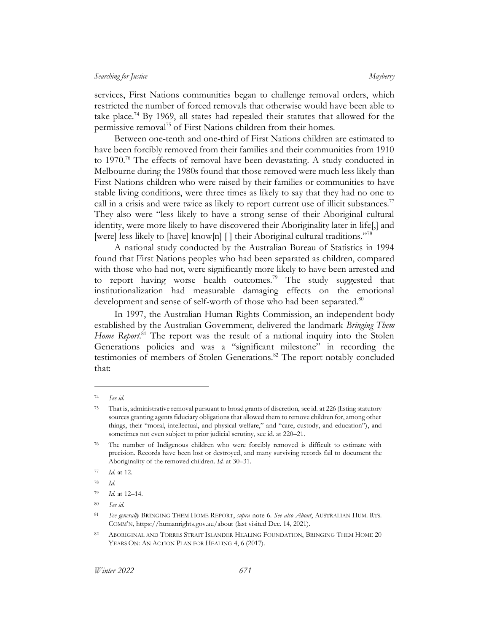services, First Nations communities began to challenge removal orders, which restricted the number of forced removals that otherwise would have been able to take place.<sup>74</sup> By 1969, all states had repealed their statutes that allowed for the permissive removal<sup>75</sup> of First Nations children from their homes.

Between one-tenth and one-third of First Nations children are estimated to have been forcibly removed from their families and their communities from 1910 to  $1970.^{76}$  The effects of removal have been devastating. A study conducted in Melbourne during the 1980s found that those removed were much less likely than First Nations children who were raised by their families or communities to have stable living conditions, were three times as likely to say that they had no one to call in a crisis and were twice as likely to report current use of illicit substances.<sup>77</sup> They also were "less likely to have a strong sense of their Aboriginal cultural identity, were more likely to have discovered their Aboriginality later in life[,] and [were] less likely to [have] know[n] [] their Aboriginal cultural traditions."78

A national study conducted by the Australian Bureau of Statistics in 1994 found that First Nations peoples who had been separated as children, compared with those who had not, were significantly more likely to have been arrested and to report having worse health outcomes.<sup>79</sup> The study suggested that institutionalization had measurable damaging effects on the emotional development and sense of self-worth of those who had been separated.<sup>80</sup>

In 1997, the Australian Human Rights Commission, an independent body established by the Australian Government, delivered the landmark *Bringing Them*  Home Report.<sup>81</sup> The report was the result of a national inquiry into the Stolen Generations policies and was a "significant milestone" in recording the testimonies of members of Stolen Generations.<sup>82</sup> The report notably concluded that:

<sup>74</sup> *See id.*

<sup>75</sup> That is, administrative removal pursuant to broad grants of discretion, see id*.* at 226 (listing statutory sources granting agents fiduciary obligations that allowed them to remove children for, among other things, their "moral, intellectual, and physical welfare," and "care, custody, and education"), and sometimes not even subject to prior judicial scrutiny, see id. at 220–21.

<sup>&</sup>lt;sup>76</sup> The number of Indigenous children who were forcibly removed is difficult to estimate with precision. Records have been lost or destroyed, and many surviving records fail to document the Aboriginality of the removed children. *Id.* at 30–31.

<sup>77</sup> *Id.* at 12.

<sup>78</sup> *Id.*

<sup>79</sup> *Id.* at 12–14.

<sup>80</sup> *See id.*

<sup>81</sup> *See generally* BRINGING THEM HOME REPORT, *supra* note [6.](#page-3-3) *See also About*, AUSTRALIAN HUM. RTS. COMM'N, https://humanrights.gov.au/about (last visited Dec. 14, 2021).

<sup>82</sup> ABORIGINAL AND TORRES STRAIT ISLANDER HEALING FOUNDATION, BRINGING THEM HOME 20 YEARS ON: AN ACTION PLAN FOR HEALING 4, 6 (2017).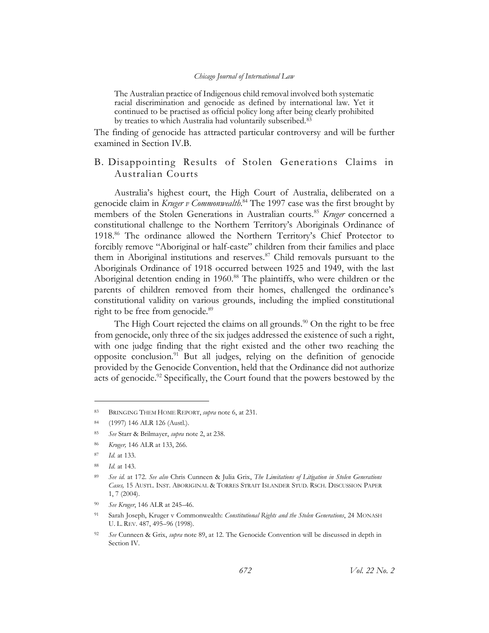The Australian practice of Indigenous child removal involved both systematic racial discrimination and genocide as defined by international law. Yet it continued to be practised as official policy long after being clearly prohibited by treaties to which Australia had voluntarily subscribed.<sup>83</sup>

The finding of genocide has attracted particular controversy and will be further examined in Section IV.B.

# <span id="page-12-0"></span>B. Disappointing Results of Stolen Generations Claims in Australian Courts

Australia's highest court, the High Court of Australia, deliberated on a genocide claim in *Kruger v Commonwealth*. <sup>84</sup> The 1997 case was the first brought by members of the Stolen Generations in Australian courts.<sup>85</sup> *Kruger* concerned a constitutional challenge to the Northern Territory's Aboriginals Ordinance of 1918.<sup>86</sup> The ordinance allowed the Northern Territory's Chief Protector to forcibly remove "Aboriginal or half-caste" children from their families and place them in Aboriginal institutions and reserves. $87$  Child removals pursuant to the Aboriginals Ordinance of 1918 occurred between 1925 and 1949, with the last Aboriginal detention ending in 1960.<sup>88</sup> The plaintiffs, who were children or the parents of children removed from their homes, challenged the ordinance's constitutional validity on various grounds, including the implied constitutional right to be free from genocide.<sup>89</sup>

<span id="page-12-2"></span><span id="page-12-1"></span>The High Court rejected the claims on all grounds.<sup>90</sup> On the right to be free from genocide, only three of the six judges addressed the existence of such a right, with one judge finding that the right existed and the other two reaching the opposite conclusion.<sup>91</sup> But all judges, relying on the definition of genocide provided by the Genocide Convention, held that the Ordinance did not authorize acts of genocide.<sup>92</sup> Specifically, the Court found that the powers bestowed by the

<sup>83</sup> BRINGING THEM HOME REPORT, *supra* not[e 6,](#page-3-3) at 231.

<sup>84</sup> (1997) 146 ALR 126 (Austl.).

<sup>85</sup> *See* Starr & Brilmayer, *supra* note [2,](#page-3-1) at 238.

<sup>86</sup> *Kruger,* 146 ALR at 133, 266.

<sup>87</sup> *Id.* at 133.

<sup>88</sup> *Id.* at 143.

<sup>89</sup> *See id.* at 172. *See also* Chris Cunneen & Julia Grix, *The Limitations of Litigation in Stolen Generations Cases,* 15 AUSTL. INST. ABORIGINAL & TORRES STRAIT ISLANDER STUD. RSCH. DISCUSSION PAPER 1, 7 (2004).

<sup>90</sup> *See Kruger*, 146 ALR at 245–46.

<sup>91</sup> Sarah Joseph, Kruger v Commonwealth: *Constitutional Rights and the Stolen Generations*, 24 MONASH U. L. REV. 487, 495–96 (1998).

<sup>92</sup> *See* Cunneen & Grix, *supra* not[e 89,](#page-12-1) at 12. The Genocide Convention will be discussed in depth in Section [IV.](#page-23-0)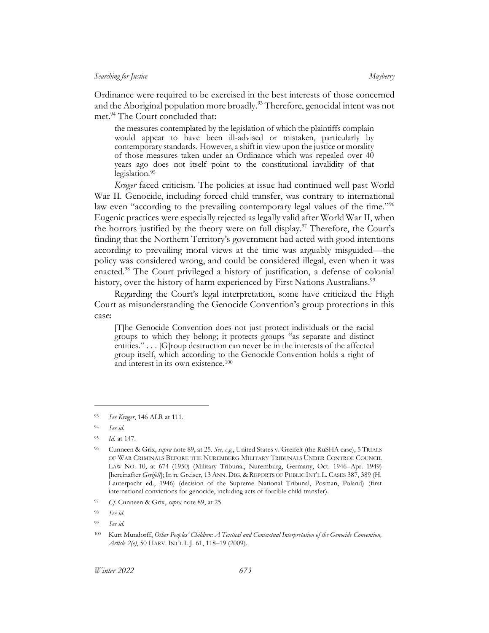Ordinance were required to be exercised in the best interests of those concerned and the Aboriginal population more broadly.<sup>93</sup> Therefore, genocidal intent was not met.<sup>94</sup> The Court concluded that:

<span id="page-13-1"></span>the measures contemplated by the legislation of which the plaintiffs complain would appear to have been ill-advised or mistaken, particularly by contemporary standards. However, a shift in view upon the justice or morality of those measures taken under an Ordinance which was repealed over 40 years ago does not itself point to the constitutional invalidity of that legislation.<sup>95</sup>

*Kruger* faced criticism. The policies at issue had continued well past World War II. Genocide, including forced child transfer, was contrary to international law even "according to the prevailing contemporary legal values of the time."<sup>96</sup> Eugenic practices were especially rejected as legally valid after World War II, when the horrors justified by the theory were on full display. <sup>97</sup> Therefore, the Court's finding that the Northern Territory's government had acted with good intentions according to prevailing moral views at the time was arguably misguided—the policy was considered wrong, and could be considered illegal, even when it was enacted.<sup>98</sup> The Court privileged a history of justification, a defense of colonial history, over the history of harm experienced by First Nations Australians.<sup>99</sup>

Regarding the Court's legal interpretation, some have criticized the High Court as misunderstanding the Genocide Convention's group protections in this case:

<span id="page-13-0"></span>[T]he Genocide Convention does not just protect individuals or the racial groups to which they belong; it protects groups "as separate and distinct entities." . . . [G]roup destruction can never be in the interests of the affected group itself, which according to the Genocide Convention holds a right of and interest in its own existence.<sup>100</sup>

<sup>93</sup> *See Kruger*, 146 ALR at 111.

<sup>94</sup> *See id.*

*Id.* at 147.

<sup>96</sup> Cunneen & Grix, *supra* note [89,](#page-12-1) at 25. *See, e.g.*, United States v. Greifelt (the RuSHA case), 5 TRIALS OF WAR CRIMINALS BEFORE THE NUREMBERG MILITARY TRIBUNALS UNDER CONTROL COUNCIL LAW NO. 10, at 674 (1950) (Military Tribunal, Nuremburg, Germany, Oct. 1946–Apr. 1949) [hereinafter *Greifelt*]; In re Greiser, 13 ANN. DIG. & REPORTS OF PUBLIC INT'L L. CASES 387, 389 (H. Lauterpacht ed., 1946) (decision of the Supreme National Tribunal, Posman, Poland) (first international convictions for genocide, including acts of forcible child transfer).

<sup>97</sup> *Cf.* Cunneen & Grix, *supra* not[e 89,](#page-12-1) at 25.

<sup>98</sup> *See id.*

<sup>99</sup> *See id.*

<sup>100</sup> Kurt Mundorff, *Other Peoples' Children: A Textual and Contextual Interpretation of the Genocide Convention, Article 2(e)*, 50 HARV. INT'L L.J. 61, 118–19 (2009).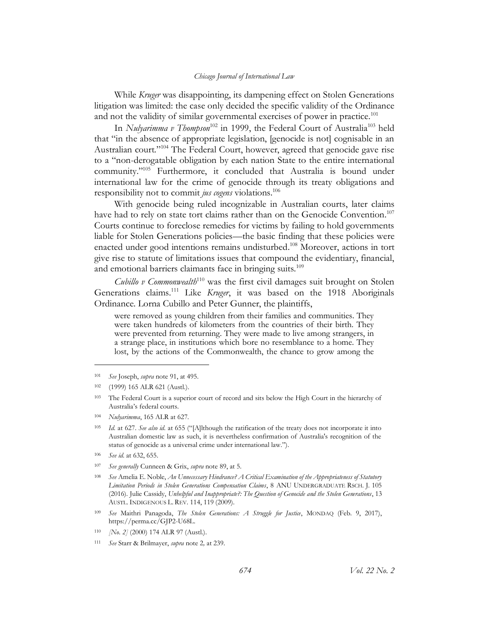While *Kruger* was disappointing, its dampening effect on Stolen Generations litigation was limited: the case only decided the specific validity of the Ordinance and not the validity of similar governmental exercises of power in practice.<sup>101</sup>

In *Nulyarimma v Thompson*<sup>102</sup> in 1999, the Federal Court of Australia<sup>103</sup> held that "in the absence of appropriate legislation, [genocide is not] cognisable in an Australian court."<sup>104</sup> The Federal Court, however, agreed that genocide gave rise to a "non-derogatable obligation by each nation State to the entire international community." <sup>105</sup> Furthermore, it concluded that Australia is bound under international law for the crime of genocide through its treaty obligations and responsibility not to commit *jus cogens* violations.<sup>106</sup>

With genocide being ruled incognizable in Australian courts, later claims have had to rely on state tort claims rather than on the Genocide Convention.<sup>107</sup> Courts continue to foreclose remedies for victims by failing to hold governments liable for Stolen Generations policies—the basic finding that these policies were enacted under good intentions remains undisturbed. <sup>108</sup> Moreover, actions in tort give rise to statute of limitations issues that compound the evidentiary, financial, and emotional barriers claimants face in bringing suits.<sup>109</sup>

*Cubillo v Commonwealth*<sup>110</sup> was the first civil damages suit brought on Stolen Generations claims.<sup>111</sup> Like *Kruger*, it was based on the 1918 Aboriginals Ordinance. Lorna Cubillo and Peter Gunner, the plaintiffs,

were removed as young children from their families and communities. They were taken hundreds of kilometers from the countries of their birth. They were prevented from returning. They were made to live among strangers, in a strange place, in institutions which bore no resemblance to a home. They lost, by the actions of the Commonwealth, the chance to grow among the

<sup>104</sup> *Nulyarimma*, 165 ALR at 627.

- <sup>109</sup> *See* Maithri Panagoda, *The Stolen Generations: A Struggle for Justice*, MONDAQ (Feb. 9, 2017), https://perma.cc/GJP2-U68L.
- <sup>110</sup> *[No. 2]* (2000) 174 ALR 97 (Austl.).

<sup>101</sup> *See* Joseph, *supra* not[e 91,](#page-12-2) at 495.

<sup>102</sup> (1999) 165 ALR 621 (Austl.).

<sup>103</sup> The Federal Court is a superior court of record and sits below the High Court in the hierarchy of Australia's federal courts.

<sup>105</sup> *Id.* at 627. *See also id.* at 655 ("[A]lthough the ratification of the treaty does not incorporate it into Australian domestic law as such, it is nevertheless confirmation of Australia's recognition of the status of genocide as a universal crime under international law.").

<sup>106</sup> *See id.* at 632, 655.

<sup>107</sup> *See generally* Cunneen & Grix, *supra* note [89,](#page-12-1) at 5.

<sup>108</sup> *See* Amelia E. Noble, *An Unnecessary Hindrance? A Critical Examination of the Appropriateness of Statutory Limitation Periods in Stolen Generations Compensation Claims*, 8 ANU UNDERGRADUATE RSCH. J. 105 (2016). Julie Cassidy, *Unhelpful and Inappropriate?: The Question of Genocide and the Stolen Generations*, 13 AUSTL. INDIGENOUS L. REV. 114, 119 (2009).

<sup>111</sup> *See* Starr & Brilmayer, *supra* not[e 2](#page-3-1)*,* at 239.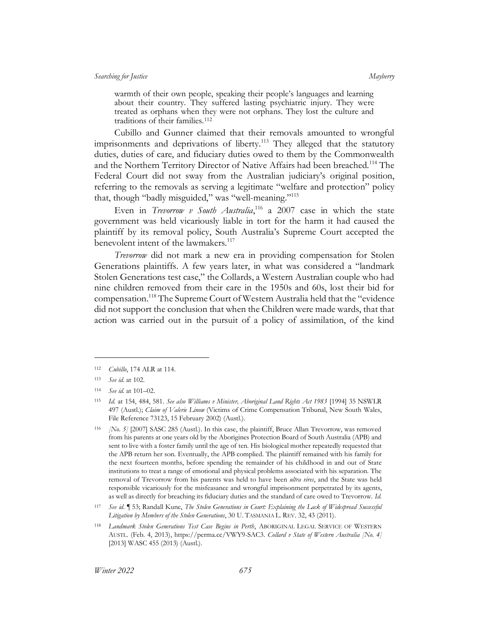warmth of their own people, speaking their people's languages and learning about their country. They suffered lasting psychiatric injury. They were treated as orphans when they were not orphans. They lost the culture and traditions of their families.<sup>112</sup>

Cubillo and Gunner claimed that their removals amounted to wrongful imprisonments and deprivations of liberty.<sup>113</sup> They alleged that the statutory duties, duties of care, and fiduciary duties owed to them by the Commonwealth and the Northern Territory Director of Native Affairs had been breached.<sup>114</sup> The Federal Court did not sway from the Australian judiciary's original position, referring to the removals as serving a legitimate "welfare and protection" policy that, though "badly misguided," was "well-meaning."<sup>115</sup>

<span id="page-15-0"></span>Even in *Trevorrow v South Australia*,<sup>116</sup> a 2007 case in which the state government was held vicariously liable in tort for the harm it had caused the plaintiff by its removal policy, South Australia's Supreme Court accepted the benevolent intent of the lawmakers.<sup>117</sup>

*Trevorrow* did not mark a new era in providing compensation for Stolen Generations plaintiffs. A few years later, in what was considered a "landmark Stolen Generations test case," the Collards, a Western Australian couple who had nine children removed from their care in the 1950s and 60s, lost their bid for compensation.<sup>118</sup> The Supreme Court of Western Australia held that the "evidence did not support the conclusion that when the Children were made wards, that that action was carried out in the pursuit of a policy of assimilation, of the kind

<sup>112</sup> *Cubillo*, 174 ALR at 114.

<sup>113</sup> *See id.* at 102.

<sup>114</sup> *See id.* at 101–02.

<sup>115</sup> *Id.* at 154, 484, 581. *See also Williams v Minister, Aboriginal Land Rights Act 1983* [1994] 35 NSWLR 497 (Austl.); *Claim of Valerie Linow* (Victims of Crime Compensation Tribunal, New South Wales, File Reference 73123, 15 February 2002) (Austl.).

<sup>116</sup> *[No. 5]* [2007] SASC 285 (Austl.). In this case, the plaintiff, Bruce Allan Trevorrow, was removed from his parents at one years old by the Aborigines Protection Board of South Australia (APB) and sent to live with a foster family until the age of ten. His biological mother repeatedly requested that the APB return her son. Eventually, the APB complied. The plaintiff remained with his family for the next fourteen months, before spending the remainder of his childhood in and out of State institutions to treat a range of emotional and physical problems associated with his separation. The removal of Trevorrow from his parents was held to have been *ultra vires*, and the State was held responsible vicariously for the misfeasance and wrongful imprisonment perpetrated by its agents, as well as directly for breaching its fiduciary duties and the standard of care owed to Trevorrow. *Id.* 

<sup>117</sup> *See id.* ¶ 53; Randall Kune, *The Stolen Generations in Court: Explaining the Lack of Widespread Successful Litigation by Members of the Stolen Generations*, 30 U. TASMANIA L. REV. 32, 43 (2011).

<sup>118</sup> *Landmark Stolen Generations Test Case Begins in Perth*, ABORIGINAL LEGAL SERVICE OF WESTERN AUSTL. (Feb. 4, 2013), https://perma.cc/VWY9-SAC3. *Collard v State of Western Australia [No. 4]* [2013] WASC 455 (2013) (Austl.).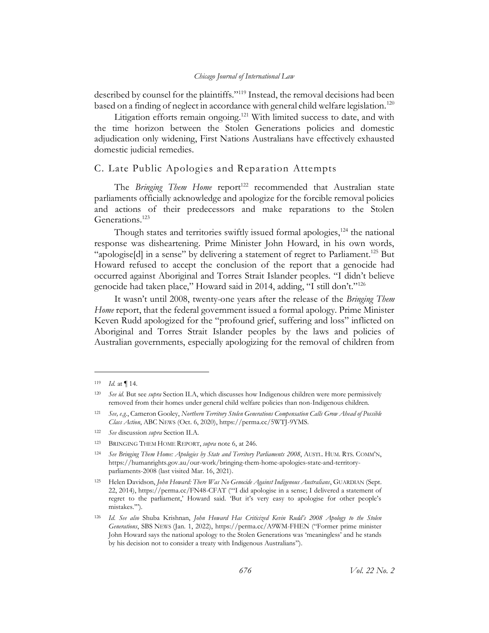described by counsel for the plaintiffs."<sup>119</sup> Instead, the removal decisions had been based on a finding of neglect in accordance with general child welfare legislation.<sup>120</sup>

<span id="page-16-1"></span>Litigation efforts remain ongoing.<sup>121</sup> With limited success to date, and with the time horizon between the Stolen Generations policies and domestic adjudication only widening, First Nations Australians have effectively exhausted domestic judicial remedies.

# <span id="page-16-0"></span>C. Late Public Apologies and Reparation Attempts

The *Bringing Them Home* report<sup>122</sup> recommended that Australian state parliaments officially acknowledge and apologize for the forcible removal policies and actions of their predecessors and make reparations to the Stolen Generations.<sup>123</sup>

Though states and territories swiftly issued formal apologies, $124$  the national response was disheartening. Prime Minister John Howard, in his own words, "apologise[d] in a sense" by delivering a statement of regret to Parliament.<sup>125</sup> But Howard refused to accept the conclusion of the report that a genocide had occurred against Aboriginal and Torres Strait Islander peoples. "I didn't believe genocide had taken place," Howard said in 2014, adding, "I still don't."<sup>126</sup>

It wasn't until 2008, twenty-one years after the release of the *Bringing Them Home* report, that the federal government issued a formal apology. Prime Minister Keven Rudd apologized for the "profound grief, suffering and loss" inflicted on Aboriginal and Torres Strait Islander peoples by the laws and policies of Australian governments, especially apologizing for the removal of children from

<sup>119</sup> *Id.* at ¶ 14.

<sup>120</sup> *See id.* But see *supra* Section [II.A,](#page-6-1) which discusses how Indigenous children were more permissively removed from their homes under general child welfare policies than non-Indigenous children.

<sup>121</sup> *See, e.g.*, Cameron Gooley, *Northern Territory Stolen Generations Compensation Calls Grow Ahead of Possible Class Action*, ABC NEWS (Oct. 6, 2020), https://perma.cc/5WTJ-9YMS.

<sup>122</sup> *See* discussion *supra* Section [II.A.](#page-6-1) 

<sup>123</sup> BRINGING THEM HOME REPORT, *supra* not[e 6,](#page-3-3) at 246.

<sup>124</sup> *See Bringing Them Home: Apologies by State and Territory Parliaments 2008*, AUSTL. HUM. RTS. COMM'N, https://humanrights.gov.au/our-work/bringing-them-home-apologies-state-and-territoryparliaments-2008 (last visited Mar. 16, 2021).

<sup>125</sup> Helen Davidson, *John Howard: There Was No Genocide Against Indigenous Australians*, GUARDIAN (Sept. 22, 2014), https://perma.cc/FN48-CFAT ("'I did apologise in a sense; I delivered a statement of regret to the parliament,' Howard said. 'But it's very easy to apologise for other people's mistakes.'").

<sup>126</sup> *Id*. *See also* Shuba Krishnan, *John Howard Has Criticized Kevin Rudd's 2008 Apology to the Stolen Generations*, SBS NEWS (Jan. 1, 2022), https://perma.cc/A9WM-FHEN ("Former prime minister John Howard says the national apology to the Stolen Generations was 'meaningless' and he stands by his decision not to consider a treaty with Indigenous Australians").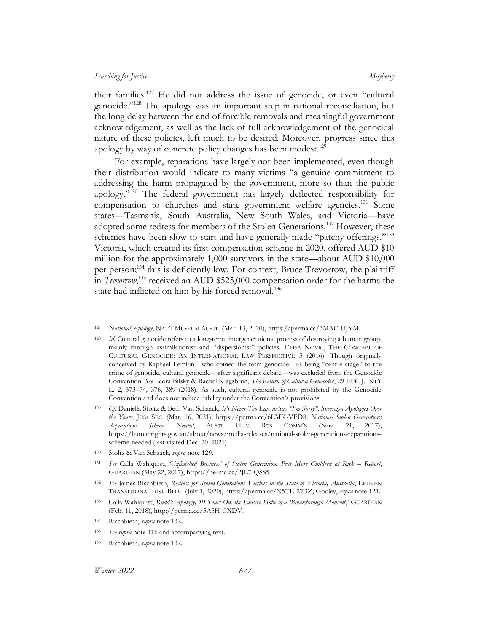<span id="page-17-2"></span>their families.<sup>127</sup> He did not address the issue of genocide, or even "cultural genocide."<sup>128</sup> The apology was an important step in national reconciliation, but the long delay between the end of forcible removals and meaningful government acknowledgement, as well as the lack of full acknowledgement of the genocidal nature of these policies, left much to be desired. Moreover, progress since this apology by way of concrete policy changes has been modest.<sup>129</sup>

<span id="page-17-1"></span><span id="page-17-0"></span>For example, reparations have largely not been implemented, even though their distribution would indicate to many victims "a genuine commitment to addressing the harm propagated by the government, more so than the public apology."<sup>130</sup> The federal government has largely deflected responsibility for compensation to churches and state government welfare agencies.<sup>131</sup> Some states—Tasmania, South Australia, New South Wales, and Victoria—have adopted some redress for members of the Stolen Generations.<sup>132</sup> However, these schemes have been slow to start and have generally made "patchy offerings."<sup>133</sup> Victoria, which created its first compensation scheme in 2020, offered AUD \$10 million for the approximately 1,000 survivors in the state—about AUD \$10,000 per person; <sup>134</sup> this is deficiently low. For context, Bruce Trevorrow, the plaintiff in *Trevorrow*, <sup>135</sup> received an AUD \$525,000 compensation order for the harms the state had inflicted on him by his forced removal.<sup>136</sup>

<sup>127</sup> *National Apology*, NAT'L MUSEUM AUSTL. (Mar. 13, 2020), https://perma.cc/3MAC-UJYM.

<sup>128</sup> *Id.* Cultural genocide refers to a long-term, intergenerational process of destroying a human group, mainly through assimilationist and "dispersionist" policies. ELISA NOVIC, THE CONCEPT OF CULTURAL GENOCIDE: AN INTERNATIONAL LAW PERSPECTIVE 5 (2016). Though originally conceived by Raphael Lemkin—who coined the term genocide—as being "centre stage" to the crime of genocide, cultural genocide—after significant debate—was excluded from the Genocide Convention. *See* Leora Bilsky & Rachel Klagsbrun, *The Return of Cultural Genocide?*, 29 EUR. J. INT'L L. 2, 373–74, 376, 389 (2018). As such, cultural genocide is not prohibited by the Genocide Convention and does not induce liability under the Convention's provisions.

<sup>129</sup> *Cf.* Daniella Stoltz & Beth Van Schaack, *It's Never Too Late to Say "I'm Sorry": Sovereign Apologies Over the Years*, JUST SEC. (Mar. 16, 2021), https://perma.cc/6LMK-VFD8; *National Stolen Generations Reparations Scheme Needed*, AUSTL. HUM. RTS. COMM'N (Nov. 21, 2017), https://humanrights.gov.au/about/news/media-releases/national-stolen-generations-reparationsscheme-needed (last visited Dec. 20. 2021).

<sup>130</sup> Stoltz & Van Schaack, *supra* not[e 129.](#page-17-0)

<sup>131</sup> *See* Calla Wahlquist, *'Unfinished Business' of Stolen Generations Puts More Children at Risk – Report*, GUARDIAN (May 22, 2017), https://perma.cc/2JL7-QSS5.

<sup>132</sup> *See* James Rischbieth, *Redress for Stolen-Generations Victims in the State of Victoria, Australia*, LEUVEN TRANSITIONAL JUST. BLOG (July 1, 2020), https://perma.cc/X5TE-2T3Z; Gooley, *supra* note [121.](#page-16-1)

<sup>133</sup> Calla Wahlquist, *Rudd's Apology, 10 Years On: the Elusive Hope of a 'Breakthrough Moment*,' GUARDIAN (Feb. 11, 2018), http://perma.cc/5A5H-CXDV.

<sup>134</sup> Rischbieth, *supra* note [132.](#page-17-1) 

<sup>135</sup> *See supra* not[e 116](#page-15-0) and accompanying text.

<sup>136</sup> Rischbieth, *supra* note [132.](#page-17-1)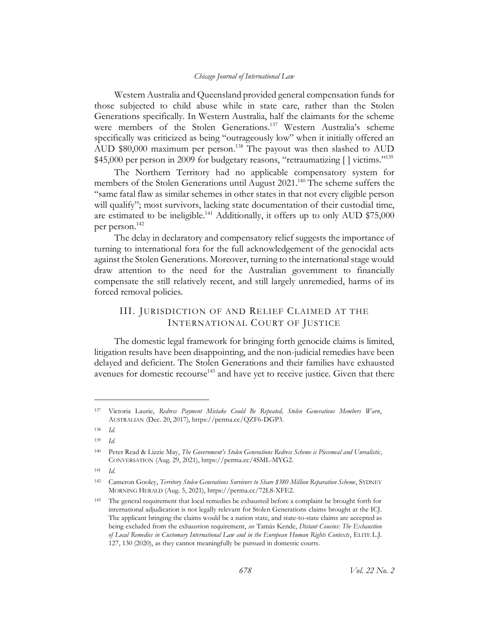Western Australia and Queensland provided general compensation funds for those subjected to child abuse while in state care, rather than the Stolen Generations specifically. In Western Australia, half the claimants for the scheme were members of the Stolen Generations.<sup>137</sup> Western Australia's scheme specifically was criticized as being "outrageously low" when it initially offered an AUD  $$80,000$  maximum per person.<sup>138</sup> The payout was then slashed to AUD \$45,000 per person in 2009 for budgetary reasons, "retraumatizing [] victims."<sup>139</sup>

The Northern Territory had no applicable compensatory system for members of the Stolen Generations until August 2021.<sup>140</sup> The scheme suffers the "same fatal flaw as similar schemes in other states in that not every eligible person will qualify"; most survivors, lacking state documentation of their custodial time, are estimated to be ineligible.<sup>141</sup> Additionally, it offers up to only AUD \$75,000 per person.<sup>142</sup>

The delay in declaratory and compensatory relief suggests the importance of turning to international fora for the full acknowledgement of the genocidal acts against the Stolen Generations. Moreover, turning to the international stage would draw attention to the need for the Australian government to financially compensate the still relatively recent, and still largely unremedied, harms of its forced removal policies.

# <span id="page-18-1"></span><span id="page-18-0"></span>III. JURISDICTION OF AND RELIEF CLAIMED AT THE INTERNATIONAL COURT OF JUSTICE

The domestic legal framework for bringing forth genocide claims is limited, litigation results have been disappointing, and the non-judicial remedies have been delayed and deficient. The Stolen Generations and their families have exhausted avenues for domestic recourse<sup>143</sup> and have yet to receive justice. Given that there

<sup>141</sup> *Id.* 

<sup>137</sup> Victoria Laurie, *Redress Payment Mistake Could Be Repeated, Stolen Generations Members Warn*, AUSTRALIAN (Dec. 20, 2017), https://perma.cc/QZF6-DGP3.

<sup>138</sup> *Id.*

<sup>139</sup> *Id.*

<sup>140</sup> Peter Read & Lizzie May, *The Government's Stolen Generations Redress Scheme is Piecemeal and Unrealistic*, CONVERSATION (Aug. 29, 2021), https://perma.cc/4SML-MYG2.

<sup>142</sup> Cameron Gooley, *Territory Stolen Generations Survivors to Share \$380 Million Reparation Scheme*, SYDNEY MORNING HERALD (Aug. 5, 2021), https://perma.cc/72L8-XFE2.

<sup>143</sup> The general requirement that local remedies be exhausted before a complaint be brought forth for international adjudication is not legally relevant for Stolen Generations claims brought at the ICJ. The applicant bringing the claims would be a nation state, and state-to-state claims are accepted as being excluded from the exhaustion requirement, *see* Tamás Kende, *Distant Cousins: The Exhaustion of Local Remedies in Customary International Law and in the European Human Rights Contexts*, ELITE L.J. 127, 130 (2020), as they cannot meaningfully be pursued in domestic courts.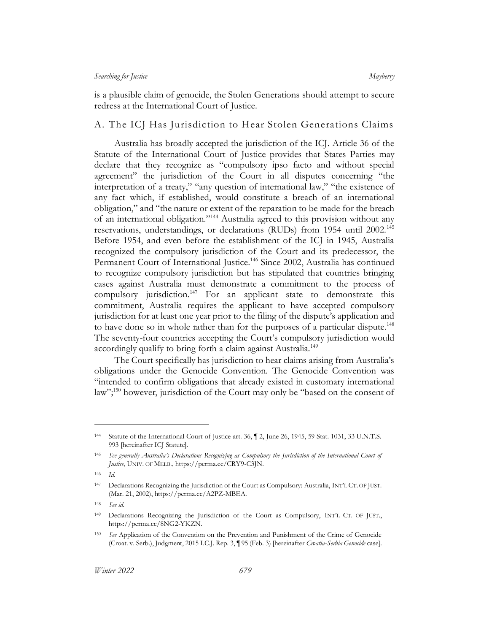is a plausible claim of genocide, the Stolen Generations should attempt to secure redress at the International Court of Justice.

# <span id="page-19-0"></span>A. The ICJ Has Jurisdiction to Hear Stolen Generations Claims

<span id="page-19-1"></span>Australia has broadly accepted the jurisdiction of the ICJ. Article 36 of the Statute of the International Court of Justice provides that States Parties may declare that they recognize as "compulsory ipso facto and without special agreement" the jurisdiction of the Court in all disputes concerning "the interpretation of a treaty," "any question of international law," "the existence of any fact which, if established, would constitute a breach of an international obligation," and "the nature or extent of the reparation to be made for the breach of an international obligation."<sup>144</sup> Australia agreed to this provision without any reservations, understandings, or declarations (RUDs) from 1954 until 2002.<sup>145</sup> Before 1954, and even before the establishment of the ICJ in 1945, Australia recognized the compulsory jurisdiction of the Court and its predecessor, the Permanent Court of International Justice.<sup>146</sup> Since 2002, Australia has continued to recognize compulsory jurisdiction but has stipulated that countries bringing cases against Australia must demonstrate a commitment to the process of compulsory jurisdiction.<sup>147</sup> For an applicant state to demonstrate this commitment, Australia requires the applicant to have accepted compulsory jurisdiction for at least one year prior to the filing of the dispute's application and to have done so in whole rather than for the purposes of a particular dispute.<sup>148</sup> The seventy-four countries accepting the Court's compulsory jurisdiction would accordingly qualify to bring forth a claim against Australia.<sup>149</sup>

<span id="page-19-2"></span>The Court specifically has jurisdiction to hear claims arising from Australia's obligations under the Genocide Convention. The Genocide Convention was "intended to confirm obligations that already existed in customary international law";<sup>150</sup> however, jurisdiction of the Court may only be "based on the consent of

<sup>144</sup> Statute of the International Court of Justice art. 36, ¶ 2, June 26, 1945, 59 Stat. 1031, 33 U.N.T.S. 993 [hereinafter ICJ Statute].

<sup>145</sup> *See generally Australia's Declarations Recognizing as Compulsory the Jurisdiction of the International Court of Justice*, UNIV. OF MELB., https://perma.cc/CRY9-C3JN.

<sup>146</sup> *Id.*

<sup>147</sup> Declarations Recognizing the Jurisdiction of the Court as Compulsory: Australia, INT'L CT. OF JUST. (Mar. 21, 2002), https://perma.cc/A2PZ-MBEA.

<sup>148</sup> *See id.*

<sup>149</sup> Declarations Recognizing the Jurisdiction of the Court as Compulsory, INT'L CT. OF JUST., https://perma.cc/8NG2-YKZN.

<sup>150</sup> *See* Application of the Convention on the Prevention and Punishment of the Crime of Genocide (Croat. v. Serb.), Judgment, 2015 I.C.J. Rep. 3, ¶ 95 (Feb. 3) [hereinafter *Croatia*-*Serbia Genocide* case].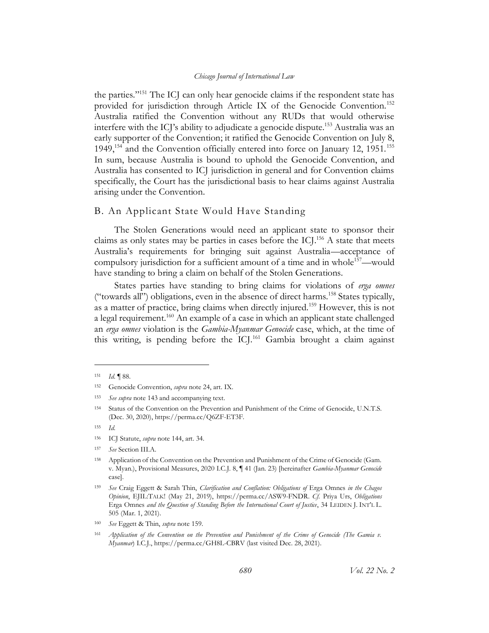the parties."<sup>151</sup> The ICJ can only hear genocide claims if the respondent state has provided for jurisdiction through Article IX of the Genocide Convention.<sup>152</sup> Australia ratified the Convention without any RUDs that would otherwise interfere with the ICJ's ability to adjudicate a genocide dispute.<sup>153</sup> Australia was an early supporter of the Convention; it ratified the Genocide Convention on July 8, 1949,<sup>154</sup> and the Convention officially entered into force on January 12, 1951.<sup>155</sup> In sum, because Australia is bound to uphold the Genocide Convention, and Australia has consented to ICJ jurisdiction in general and for Convention claims specifically, the Court has the jurisdictional basis to hear claims against Australia arising under the Convention.

# <span id="page-20-0"></span>B. An Applicant State Would Have Standing

The Stolen Generations would need an applicant state to sponsor their claims as only states may be parties in cases before the ICJ. <sup>156</sup> A state that meets Australia's requirements for bringing suit against Australia—acceptance of compulsory jurisdiction for a sufficient amount of a time and in whole<sup>157</sup>—would have standing to bring a claim on behalf of the Stolen Generations.

<span id="page-20-2"></span><span id="page-20-1"></span>States parties have standing to bring claims for violations of *erga omnes* ("towards all") obligations, even in the absence of direct harms.<sup>158</sup> States typically, as a matter of practice, bring claims when directly injured.<sup>159</sup> However, this is not a legal requirement.<sup>160</sup> An example of a case in which an applicant state challenged an *erga omnes* violation is the *Gambia-Myanmar Genocide* case, which, at the time of this writing, is pending before the ICJ.<sup>161</sup> Gambia brought a claim against

<sup>151</sup> *Id.* ¶ 88.

<sup>152</sup> Genocide Convention, *supra* not[e 24,](#page-5-0) art. IX.

<sup>153</sup> *See supra* not[e 143](#page-18-1) and accompanying text.

<sup>154</sup> Status of the Convention on the Prevention and Punishment of the Crime of Genocide, U.N.T.S. (Dec. 30, 2020), https://perma.cc/Q6ZF-ET3F.

<sup>155</sup> *Id.*

<sup>156</sup> ICJ Statute, *supra* note [144,](#page-19-1) art. 34.

<sup>157</sup> *See* Section [III.A.](#page-19-0) 

<sup>158</sup> Application of the Convention on the Prevention and Punishment of the Crime of Genocide (Gam. v. Myan.), Provisional Measures, 2020 I.C.J. 8, ¶ 41 (Jan. 23) [hereinafter *Gambia-Myanmar Genocide*  case].

<sup>159</sup> *See* Craig Eggett & Sarah Thin, *Clarification and Conflation: Obligations of* Erga Omnes *in the Chagos Opinion*, EJIL:TALK! (May 21, 2019), https://perma.cc/ASW9-FNDR. *Cf.* Priya Urs, *Obligations*  Erga Omnes *and the Question of Standing Before the International Court of Justice*, 34 LEIDEN J. INT'L L. 505 (Mar. 1, 2021).

<sup>160</sup> *See* Eggett & Thin, *supra* not[e 159.](#page-20-1)

<sup>161</sup> *Application of the Convention on the Prevention and Punishment of the Crime of Genocide (The Gamia v. Myanmar*) I.C.J., https://perma.cc/GH8L-CBRV (last visited Dec. 28, 2021).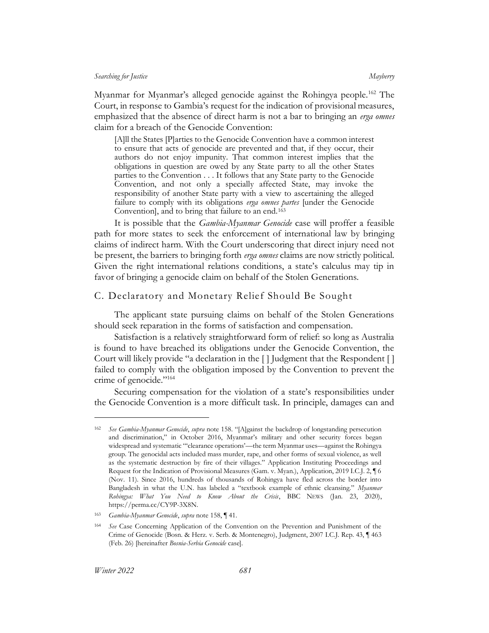Myanmar for Myanmar's alleged genocide against the Rohingya people.<sup>162</sup> The Court, in response to Gambia's request for the indication of provisional measures, emphasized that the absence of direct harm is not a bar to bringing an *erga omnes* claim for a breach of the Genocide Convention:

[A]ll the States [P]arties to the Genocide Convention have a common interest to ensure that acts of genocide are prevented and that, if they occur, their authors do not enjoy impunity. That common interest implies that the obligations in question are owed by any State party to all the other States parties to the Convention . . . It follows that any State party to the Genocide Convention, and not only a specially affected State, may invoke the responsibility of another State party with a view to ascertaining the alleged failure to comply with its obligations *erga omnes partes* [under the Genocide Convention], and to bring that failure to an end.<sup>163</sup>

It is possible that the *Gambia-Myanmar Genocide* case will proffer a feasible path for more states to seek the enforcement of international law by bringing claims of indirect harm. With the Court underscoring that direct injury need not be present, the barriers to bringing forth *erga omnes* claims are now strictly political. Given the right international relations conditions, a state's calculus may tip in favor of bringing a genocide claim on behalf of the Stolen Generations.

# <span id="page-21-0"></span>C. Declaratory and Monetary Relief Should Be Sought

The applicant state pursuing claims on behalf of the Stolen Generations should seek reparation in the forms of satisfaction and compensation.

Satisfaction is a relatively straightforward form of relief: so long as Australia is found to have breached its obligations under the Genocide Convention, the Court will likely provide "a declaration in the [ ] Judgment that the Respondent [ ] failed to comply with the obligation imposed by the Convention to prevent the crime of genocide."<sup>164</sup>

<span id="page-21-1"></span>Securing compensation for the violation of a state's responsibilities under the Genocide Convention is a more difficult task. In principle, damages can and

<sup>162</sup> *See Gambia-Myanmar Genocide*, *supra* not[e 158.](#page-20-2) "[A]gainst the backdrop of longstanding persecution and discrimination," in October 2016, Myanmar's military and other security forces began widespread and systematic "'clearance operations'—the term Myanmar uses—against the Rohingya group. The genocidal acts included mass murder, rape, and other forms of sexual violence, as well as the systematic destruction by fire of their villages." Application Instituting Proceedings and Request for the Indication of Provisional Measures (Gam. v. Myan.), Application, 2019 I.C.J. 2, ¶ 6 (Nov. 11). Since 2016, hundreds of thousands of Rohingya have fled across the border into Bangladesh in what the U.N. has labeled a "textbook example of ethnic cleansing." *Myanmar Rohingya: What You Need to Know About the Crisis*, BBC NEWS (Jan. 23, 2020), https://perma.cc/CY9P-3X8N.

<sup>163</sup> *Gambia-Myanmar Genocide*, *supra* not[e 158,](#page-20-2) ¶ 41.

<sup>164</sup> *See* Case Concerning Application of the Convention on the Prevention and Punishment of the Crime of Genocide (Bosn. & Herz. v. Serb. & Montenegro), Judgment, 2007 I.C.J. Rep. 43, ¶ 463 (Feb. 26) [hereinafter *Bosnia-Serbia Genocide* case].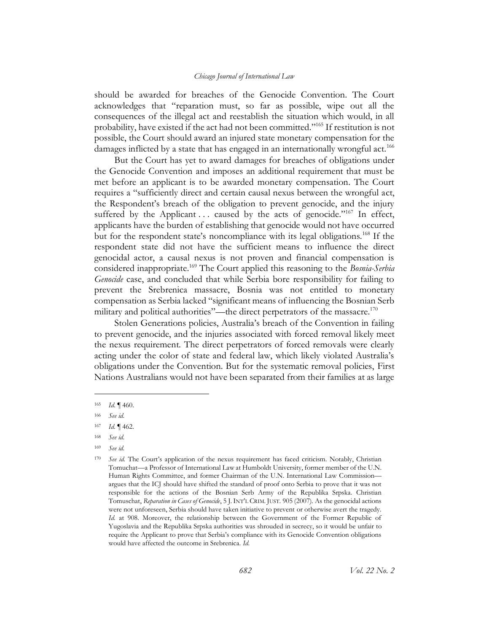should be awarded for breaches of the Genocide Convention. The Court acknowledges that "reparation must, so far as possible, wipe out all the consequences of the illegal act and reestablish the situation which would, in all probability, have existed if the act had not been committed."<sup>165</sup> If restitution is not possible, the Court should award an injured state monetary compensation for the damages inflicted by a state that has engaged in an internationally wrongful act.<sup>166</sup>

But the Court has yet to award damages for breaches of obligations under the Genocide Convention and imposes an additional requirement that must be met before an applicant is to be awarded monetary compensation. The Court requires a "sufficiently direct and certain causal nexus between the wrongful act, the Respondent's breach of the obligation to prevent genocide, and the injury suffered by the Applicant ... caused by the acts of genocide."<sup>167</sup> In effect, applicants have the burden of establishing that genocide would not have occurred but for the respondent state's noncompliance with its legal obligations.<sup>168</sup> If the respondent state did not have the sufficient means to influence the direct genocidal actor, a causal nexus is not proven and financial compensation is considered inappropriate.<sup>169</sup> The Court applied this reasoning to the *Bosnia-Serbia Genocide* case, and concluded that while Serbia bore responsibility for failing to prevent the Srebrenica massacre, Bosnia was not entitled to monetary compensation as Serbia lacked "significant means of influencing the Bosnian Serb military and political authorities"—the direct perpetrators of the massacre.<sup>170</sup>

Stolen Generations policies, Australia's breach of the Convention in failing to prevent genocide, and the injuries associated with forced removal likely meet the nexus requirement. The direct perpetrators of forced removals were clearly acting under the color of state and federal law, which likely violated Australia's obligations under the Convention. But for the systematic removal policies, First Nations Australians would not have been separated from their families at as large

<sup>165</sup> *Id.* ¶ 460.

<sup>166</sup> *See id.*

<sup>167</sup> *Id.* ¶ 462.

<sup>168</sup> *See id.*

<sup>169</sup> *See id.*

<sup>170</sup> *See id.* The Court's application of the nexus requirement has faced criticism. Notably, Christian Tomuchat—a Professor of International Law at Humboldt University, former member of the U.N. Human Rights Committee, and former Chairman of the U.N. International Law Commission argues that the ICJ should have shifted the standard of proof onto Serbia to prove that it was not responsible for the actions of the Bosnian Serb Army of the Republika Srpska. Christian Tomuschat, *Reparation in Cases of Genocide*, 5 J.INT'L CRIM. JUST. 905 (2007). As the genocidal actions were not unforeseen, Serbia should have taken initiative to prevent or otherwise avert the tragedy. *Id.* at 908. Moreover, the relationship between the Government of the Former Republic of Yugoslavia and the Republika Srpska authorities was shrouded in secrecy, so it would be unfair to require the Applicant to prove that Serbia's compliance with its Genocide Convention obligations would have affected the outcome in Srebrenica. *Id.*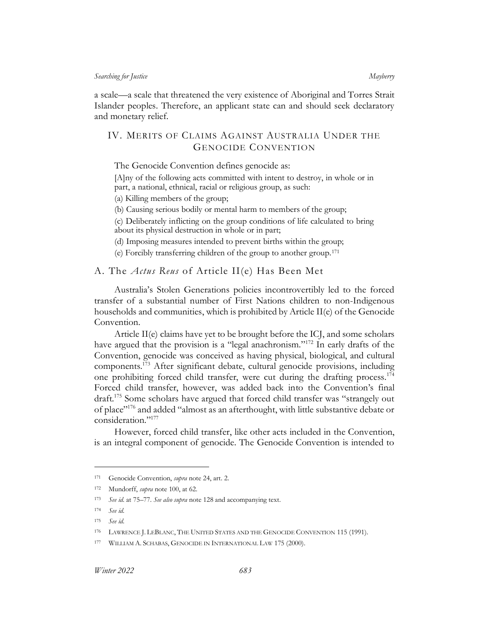a scale—a scale that threatened the very existence of Aboriginal and Torres Strait Islander peoples. Therefore, an applicant state can and should seek declaratory and monetary relief.

# <span id="page-23-0"></span>IV. MERITS OF CLAIMS AGAINST AUSTRALIA UNDER THE GENOCIDE CONVENTION

The Genocide Convention defines genocide as:

[A]ny of the following acts committed with intent to destroy, in whole or in part, a national, ethnical, racial or religious group, as such:

(a) Killing members of the group;

(b) Causing serious bodily or mental harm to members of the group;

(c) Deliberately inflicting on the group conditions of life calculated to bring about its physical destruction in whole or in part;

(d) Imposing measures intended to prevent births within the group;

(e) Forcibly transferring children of the group to another group.<sup>171</sup>

<span id="page-23-1"></span>A. The *Actus Reus* of Article II(e) Has Been Met

Australia's Stolen Generations policies incontrovertibly led to the forced transfer of a substantial number of First Nations children to non-Indigenous households and communities, which is prohibited by Article  $II(e)$  of the Genocide Convention.

Article II(e) claims have yet to be brought before the ICJ, and some scholars have argued that the provision is a "legal anachronism."<sup>172</sup> In early drafts of the Convention, genocide was conceived as having physical, biological, and cultural components.<sup>173</sup> After significant debate, cultural genocide provisions, including one prohibiting forced child transfer, were cut during the drafting process.<sup>174</sup> Forced child transfer, however, was added back into the Convention's final draft.<sup>175</sup> Some scholars have argued that forced child transfer was "strangely out of place"<sup>176</sup> and added "almost as an afterthought, with little substantive debate or consideration."<sup>177</sup>

<span id="page-23-3"></span><span id="page-23-2"></span>However, forced child transfer, like other acts included in the Convention, is an integral component of genocide. The Genocide Convention is intended to

<sup>171</sup> Genocide Convention, *supra* not[e 24,](#page-5-0) art. 2.

<sup>172</sup> Mundorff, *supra* not[e 100,](#page-13-0) at 62.

<sup>173</sup> *See id.* at 75–77. *See also supra* not[e 128](#page-17-2) and accompanying text.

<sup>174</sup> *See id.*

<sup>175</sup> *See id.*

<sup>176</sup> LAWRENCE J. LEBLANC, THE UNITED STATES AND THE GENOCIDE CONVENTION 115 (1991).

<sup>177</sup> WILLIAM A. SCHABAS, GENOCIDE IN INTERNATIONAL LAW 175 (2000).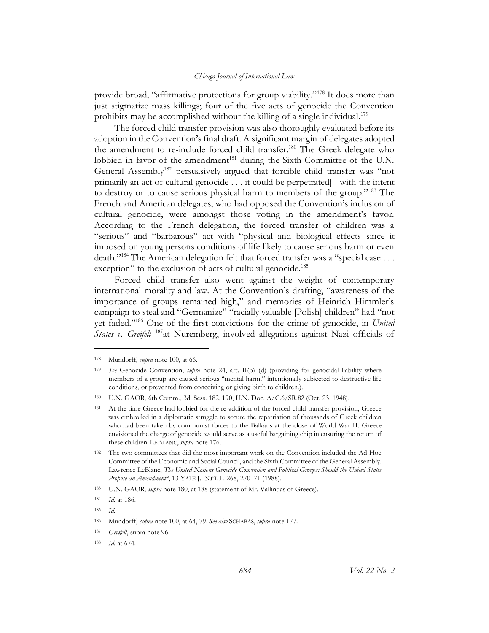provide broad, "affirmative protections for group viability."<sup>178</sup> It does more than just stigmatize mass killings; four of the five acts of genocide the Convention prohibits may be accomplished without the killing of a single individual.<sup>179</sup>

<span id="page-24-0"></span>The forced child transfer provision was also thoroughly evaluated before its adoption in the Convention's final draft. A significant margin of delegates adopted the amendment to re-include forced child transfer.<sup>180</sup> The Greek delegate who lobbied in favor of the amendment<sup>181</sup> during the Sixth Committee of the U.N. General Assembly<sup>182</sup> persuasively argued that forcible child transfer was "not primarily an act of cultural genocide . . . it could be perpetrated[ ] with the intent to destroy or to cause serious physical harm to members of the group."<sup>183</sup> The French and American delegates, who had opposed the Convention's inclusion of cultural genocide, were amongst those voting in the amendment's favor. According to the French delegation, the forced transfer of children was a "serious" and "barbarous" act with "physical and biological effects since it imposed on young persons conditions of life likely to cause serious harm or even death."<sup>184</sup> The American delegation felt that forced transfer was a "special case ... exception" to the exclusion of acts of cultural genocide.<sup>185</sup>

Forced child transfer also went against the weight of contemporary international morality and law. At the Convention's drafting, "awareness of the importance of groups remained high," and memories of Heinrich Himmler's campaign to steal and "Germanize" "racially valuable [Polish] children" had "not yet faded."<sup>186</sup> One of the first convictions for the crime of genocide, in *United States v. Greifelt* <sup>187</sup>at Nuremberg, involved allegations against Nazi officials of

<sup>178</sup> Mundorff, *supra* not[e 100,](#page-13-0) at 66.

<sup>179</sup> *See* Genocide Convention, *supra* note [24,](#page-5-0) art. II(b)–(d) (providing for genocidal liability where members of a group are caused serious "mental harm," intentionally subjected to destructive life conditions, or prevented from conceiving or giving birth to children.).

<sup>180</sup> U.N. GAOR, 6th Comm., 3d. Sess. 182, 190, U.N. Doc. A/C.6/SR.82 (Oct. 23, 1948).

<sup>181</sup> At the time Greece had lobbied for the re-addition of the forced child transfer provision, Greece was embroiled in a diplomatic struggle to secure the repatriation of thousands of Greek children who had been taken by communist forces to the Balkans at the close of World War II. Greece envisioned the charge of genocide would serve as a useful bargaining chip in ensuring the return of these children. LEBLANC, *supra* not[e 176.](#page-23-2)

<sup>&</sup>lt;sup>182</sup> The two committees that did the most important work on the Convention included the Ad Hoc Committee of the Economic and Social Council, and the Sixth Committee of the General Assembly. Lawrence LeBlanc, *The United Nations Genocide Convention and Political Groups: Should the United States Propose an Amendment?*, 13 YALE J. INT'L L. 268, 270–71 (1988).

<sup>183</sup> U.N. GAOR, *supra* not[e 180,](#page-24-0) at 188 (statement of Mr. Vallindas of Greece).

<sup>184</sup> *Id.* at 186.

<sup>185</sup> *Id.*

<sup>186</sup> Mundorff, *supra* not[e 100,](#page-13-0) at 64, 79. *See also* SCHABAS, *supra* note [177.](#page-23-3)

<sup>187</sup> *Greifelt*, supra note [96.](#page-13-1)

<sup>188</sup> *Id.* at 674.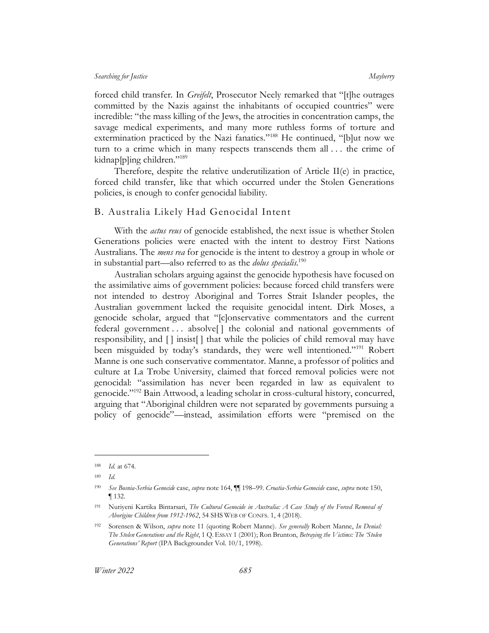forced child transfer. In *Greifelt*, Prosecutor Neely remarked that "[t]he outrages committed by the Nazis against the inhabitants of occupied countries" were incredible: "the mass killing of the Jews, the atrocities in concentration camps, the savage medical experiments, and many more ruthless forms of torture and extermination practiced by the Nazi fanatics."<sup>188</sup> He continued, "[b]ut now we turn to a crime which in many respects transcends them all . . . the crime of kidnap[p]ing children."<sup>189</sup>

Therefore, despite the relative underutilization of Article II(e) in practice, forced child transfer, like that which occurred under the Stolen Generations policies, is enough to confer genocidal liability.

### <span id="page-25-0"></span>B. Australia Likely Had Genocidal Intent

With the *actus reus* of genocide established, the next issue is whether Stolen Generations policies were enacted with the intent to destroy First Nations Australians. The *mens rea* for genocide is the intent to destroy a group in whole or in substantial part—also referred to as the *dolus specialis*. 190

Australian scholars arguing against the genocide hypothesis have focused on the assimilative aims of government policies: because forced child transfers were not intended to destroy Aboriginal and Torres Strait Islander peoples, the Australian government lacked the requisite genocidal intent. Dirk Moses, a genocide scholar, argued that "[c]onservative commentators and the current federal government . . . absolve[ ] the colonial and national governments of responsibility, and [ ] insist[ ] that while the policies of child removal may have been misguided by today's standards, they were well intentioned."<sup>191</sup> Robert Manne is one such conservative commentator. Manne, a professor of politics and culture at La Trobe University, claimed that forced removal policies were not genocidal: "assimilation has never been regarded in law as equivalent to genocide."<sup>192</sup> Bain Attwood, a leading scholar in cross-cultural history, concurred, arguing that "Aboriginal children were not separated by governments pursuing a policy of genocide"—instead, assimilation efforts were "premised on the

<sup>188</sup> *Id.* at 674.

<sup>189</sup> *Id.*

<sup>190</sup> *See Bosnia-Serbia Genocide* case, *supra* not[e 164,](#page-21-1) ¶¶ 198–99. *Croatia-Serbia Genocide* case, *supra* not[e 150,](#page-19-2) ¶ 132.

<sup>191</sup> Nuriyeni Kartika Bintarsari, *The Cultural Genocide in Australia: A Case Study of the Forced Removal of Aborigine Children from 1912-1962*, 54 SHS WEB OF CONFS. 1, 4 (2018).

<sup>192</sup> Sorensen & Wilson, *supra* note [11](#page-4-1) (quoting Robert Manne). *See generally* Robert Manne, *In Denial: The Stolen Generations and the Right*, 1 Q. ESSAY 1 (2001); Ron Brunton, *Betraying the Victims: The 'Stolen Generations' Report* (IPA Backgrounder Vol. 10/1, 1998).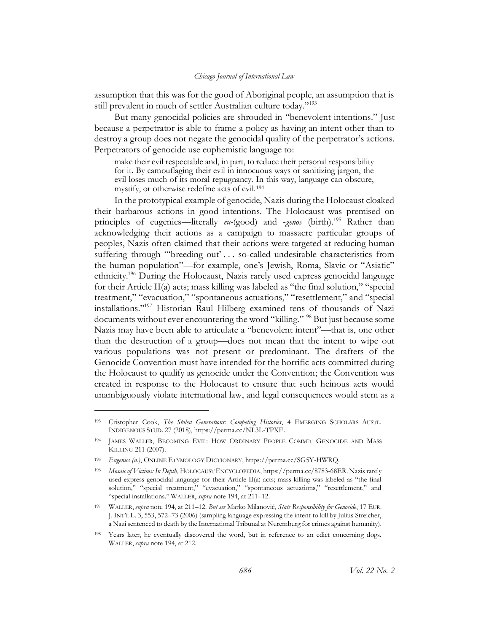assumption that this was for the good of Aboriginal people, an assumption that is still prevalent in much of settler Australian culture today."<sup>193</sup>

But many genocidal policies are shrouded in "benevolent intentions." Just because a perpetrator is able to frame a policy as having an intent other than to destroy a group does not negate the genocidal quality of the perpetrator's actions. Perpetrators of genocide use euphemistic language to:

<span id="page-26-0"></span>make their evil respectable and, in part, to reduce their personal responsibility for it. By camouflaging their evil in innocuous ways or sanitizing jargon, the evil loses much of its moral repugnancy. In this way, language can obscure, mystify, or otherwise redefine acts of evil.<sup>194</sup>

In the prototypical example of genocide, Nazis during the Holocaust cloaked their barbarous actions in good intentions. The Holocaust was premised on principles of eugenics—literally *eu-*(good) and -*genos* (birth).<sup>195</sup> Rather than acknowledging their actions as a campaign to massacre particular groups of peoples, Nazis often claimed that their actions were targeted at reducing human suffering through "'breeding out' . . . so-called undesirable characteristics from the human population"—for example, one's Jewish, Roma, Slavic or "Asiatic" ethnicity. <sup>196</sup> During the Holocaust, Nazis rarely used express genocidal language for their Article II(a) acts; mass killing was labeled as "the final solution," "special treatment," "evacuation," "spontaneous actuations," "resettlement," and "special installations."<sup>197</sup> Historian Raul Hilberg examined tens of thousands of Nazi documents without ever encountering the word "killing." <sup>198</sup> But just because some Nazis may have been able to articulate a "benevolent intent"—that is, one other than the destruction of a group—does not mean that the intent to wipe out various populations was not present or predominant. The drafters of the Genocide Convention must have intended for the horrific acts committed during the Holocaust to qualify as genocide under the Convention; the Convention was created in response to the Holocaust to ensure that such heinous acts would unambiguously violate international law, and legal consequences would stem as a

<sup>193</sup> Cristopher Cook, *The Stolen Generations: Competing Histories*, 4 EMERGING SCHOLARS AUSTL. INDIGENOUS STUD. 27 (2018), https://perma.cc/NL3L-TPXE.

<sup>194</sup> JAMES WALLER, BECOMING EVIL: HOW ORDINARY PEOPLE COMMIT GENOCIDE AND MASS KILLING 211 (2007).

<sup>195</sup> *Eugenics (n.)*, ONLINE ETYMOLOGY DICTIONARY, https://perma.cc/SG5Y-HWRQ.

<sup>196</sup> *Mosaic of Victims: In Depth*, HOLOCAUST ENCYCLOPEDIA, https://perma.cc/8783-68ER. Nazis rarely used express genocidal language for their Article II(a) acts; mass killing was labeled as "the final solution," "special treatment," "evacuation," "spontaneous actuations," "resettlement," and "special installations." WALLER, *supra* note [194,](#page-26-0) at 211–12.

<sup>197</sup> WALLER, *supra* note [194,](#page-26-0) at 211–12. *But see* Marko Milanović, *State Responsibility for Genocide*, 17 EUR. J. INT'L L. 3, 553, 572–73 (2006) (sampling language expressing the intent to kill by Julius Streicher, a Nazi sentenced to death by the International Tribunal at Nuremburg for crimes against humanity).

<sup>198</sup> Years later, he eventually discovered the word, but in reference to an edict concerning dogs. WALLER, *supra* not[e 194,](#page-26-0) at 212.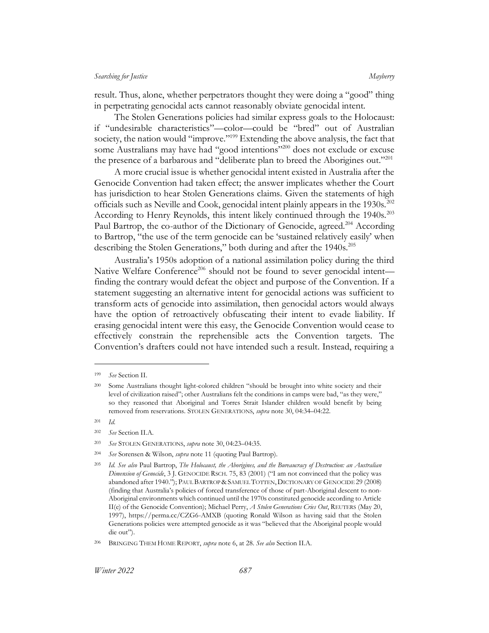result. Thus, alone, whether perpetrators thought they were doing a "good" thing in perpetrating genocidal acts cannot reasonably obviate genocidal intent.

The Stolen Generations policies had similar express goals to the Holocaust: if "undesirable characteristics"—color—could be "bred" out of Australian society, the nation would "improve." <sup>199</sup> Extending the above analysis, the fact that some Australians may have had "good intentions"<sup>200</sup> does not exclude or excuse the presence of a barbarous and "deliberate plan to breed the Aborigines out."<sup>201</sup>

A more crucial issue is whether genocidal intent existed in Australia after the Genocide Convention had taken effect; the answer implicates whether the Court has jurisdiction to hear Stolen Generations claims. Given the statements of high officials such as Neville and Cook, genocidal intent plainly appears in the 1930s.<sup>202</sup> According to Henry Reynolds, this intent likely continued through the 1940s.<sup>203</sup> Paul Bartrop, the co-author of the Dictionary of Genocide, agreed.<sup>204</sup> According to Bartrop, "the use of the term genocide can be 'sustained relatively easily' when describing the Stolen Generations," both during and after the 1940s.<sup>205</sup>

Australia's 1950s adoption of a national assimilation policy during the third Native Welfare Conference<sup>206</sup> should not be found to sever genocidal intent finding the contrary would defeat the object and purpose of the Convention. If a statement suggesting an alternative intent for genocidal actions was sufficient to transform acts of genocide into assimilation, then genocidal actors would always have the option of retroactively obfuscating their intent to evade liability. If erasing genocidal intent were this easy, the Genocide Convention would cease to effectively constrain the reprehensible acts the Convention targets. The Convention's drafters could not have intended such a result. Instead, requiring a

- <sup>201</sup> *Id.*
- <sup>202</sup> *See* Section [II.A.](#page-6-1)

<sup>199</sup> *See* Section [II.](#page-6-0)

<sup>200</sup> Some Australians thought light-colored children "should be brought into white society and their level of civilization raised"; other Australians felt the conditions in camps were bad, "as they were," so they reasoned that Aboriginal and Torres Strait Islander children would benefit by being removed from reservations. STOLEN GENERATIONS, *supra* not[e 30,](#page-6-2) 04:34–04:22.

<sup>203</sup> *See* STOLEN GENERATIONS, *supra* not[e 30,](#page-6-2) 04:23–04:35.

<sup>204</sup> *See* Sorensen & Wilson, *supra* not[e 11](#page-4-1) (quoting Paul Bartrop).

<sup>205</sup> *Id. See also* Paul Bartrop, *The Holocaust, the Aborigines, and the Bureaucracy of Destruction: an Australian Dimension of Genocide*, 3 J. GENOCIDE RSCH. 75, 83 (2001) ("I am not convinced that the policy was abandoned after 1940."); PAUL BARTROP &SAMUEL TOTTEN,DICTIONARY OF GENOCIDE 29 (2008) (finding that Australia's policies of forced transference of those of part-Aboriginal descent to non-Aboriginal environments which continued until the 1970s constituted genocide according to Article II(e) of the Genocide Convention); Michael Perry, *A Stolen Generations Cries Out*, REUTERS (May 20, 1997), https://perma.cc/CZG6-AMXB (quoting Ronald Wilson as having said that the Stolen Generations policies were attempted genocide as it was "believed that the Aboriginal people would die out").

<sup>206</sup> BRINGING THEM HOME REPORT, *supra* note [6,](#page-3-3) at 28. *See also* Section [II.A.](#page-6-1)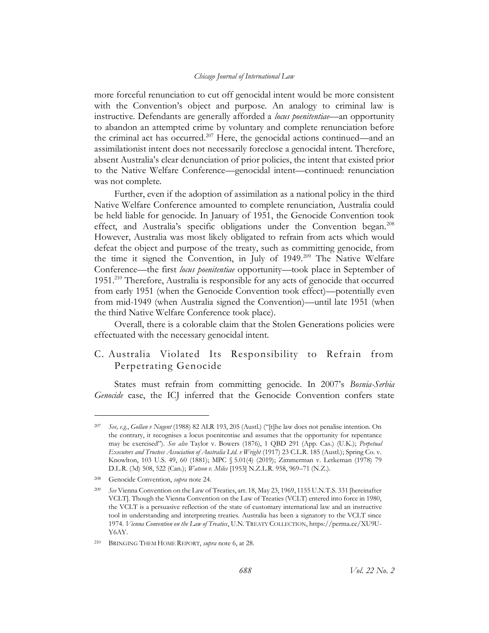more forceful renunciation to cut off genocidal intent would be more consistent with the Convention's object and purpose. An analogy to criminal law is instructive. Defendants are generally afforded a *locus poenitentiae*—an opportunity to abandon an attempted crime by voluntary and complete renunciation before the criminal act has occurred.<sup>207</sup> Here, the genocidal actions continued—and an assimilationist intent does not necessarily foreclose a genocidal intent. Therefore, absent Australia's clear denunciation of prior policies, the intent that existed prior to the Native Welfare Conference—genocidal intent—continued: renunciation was not complete.

<span id="page-28-1"></span>Further, even if the adoption of assimilation as a national policy in the third Native Welfare Conference amounted to complete renunciation, Australia could be held liable for genocide. In January of 1951, the Genocide Convention took effect, and Australia's specific obligations under the Convention began.<sup>208</sup> However, Australia was most likely obligated to refrain from acts which would defeat the object and purpose of the treaty, such as committing genocide, from the time it signed the Convention, in July of 1949.<sup>209</sup> The Native Welfare Conference—the first *locus poenitentiae* opportunity—took place in September of 1951.<sup>210</sup> Therefore, Australia is responsible for any acts of genocide that occurred from early 1951 (when the Genocide Convention took effect)—potentially even from mid-1949 (when Australia signed the Convention)—until late 1951 (when the third Native Welfare Conference took place).

Overall, there is a colorable claim that the Stolen Generations policies were effectuated with the necessary genocidal intent.

# <span id="page-28-0"></span>C. Australia Violated Its Responsibility to Refrain from Perpetrating Genocide

States must refrain from committing genocide. In 2007's *Bosnia-Serbia Genocide* case, the ICJ inferred that the Genocide Convention confers state

<sup>207</sup> *See, e.g.*, *Gollan v Nugent* (1988) 82 ALR 193, 205 (Austl.) ("[t]he law does not penalise intention. On the contrary, it recognises a locus poenitentiae and assumes that the opportunity for repentance may be exercised"). *See also* Taylor v. Bowers (1876), 1 QBD 291 (App. Cas.) (U.K.); *Perpetual Executors and Trustees Association of Australia Ltd. v Wright* (1917) 23 C.L.R. 185 (Austl.); Spring Co. v. Knowlton, 103 U.S. 49, 60 (1881); MPC § 5.01(4) (2019); Zimmerman v. Letkeman (1978) 79 D.L.R. (3d) 508, 522 (Can.); *Watson v. Miles* [1953] N.Z.L.R. 958, 969–71 (N.Z.).

<sup>208</sup> Genocide Convention, *supra* not[e 24.](#page-5-0)

<sup>209</sup> *See* Vienna Convention on the Law of Treaties, art. 18, May 23, 1969, 1155 U.N.T.S. 331 [hereinafter VCLT]. Though the Vienna Convention on the Law of Treaties (VCLT) entered into force in 1980, the VCLT is a persuasive reflection of the state of customary international law and an instructive tool in understanding and interpreting treaties. Australia has been a signatory to the VCLT since 1974. *Vienna Convention on the Law of Treaties*, U.N. TREATY COLLECTION, https://perma.cc/XU9U-Y6AY.

<sup>210</sup> BRINGING THEM HOME REPORT, *supra* note [6,](#page-3-3) at 28.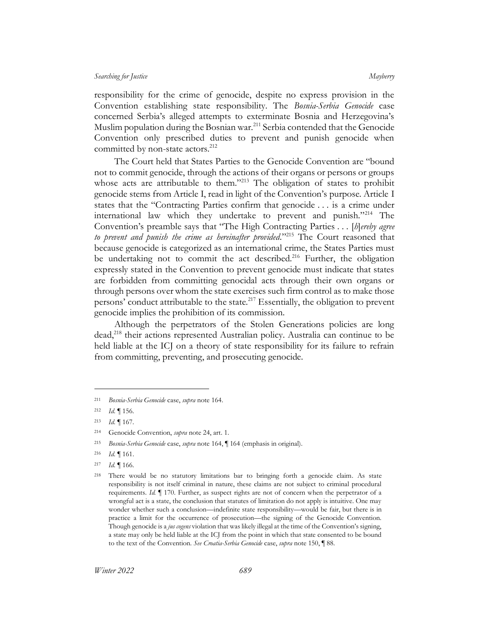responsibility for the crime of genocide, despite no express provision in the Convention establishing state responsibility. The *Bosnia-Serbia Genocide* case concerned Serbia's alleged attempts to exterminate Bosnia and Herzegovina's Muslim population during the Bosnian war.<sup>211</sup> Serbia contended that the Genocide Convention only prescribed duties to prevent and punish genocide when committed by non-state actors.<sup>212</sup>

The Court held that States Parties to the Genocide Convention are "bound not to commit genocide, through the actions of their organs or persons or groups whose acts are attributable to them."<sup>213</sup> The obligation of states to prohibit genocide stems from Article I, read in light of the Convention's purpose. Article I states that the "Contracting Parties confirm that genocide . . . is a crime under international law which they undertake to prevent and punish."<sup>214</sup> The Convention's preamble says that "The High Contracting Parties . . . [*h*]*ereby agree to prevent and punish the crime as hereinafter provided*."<sup>215</sup> The Court reasoned that because genocide is categorized as an international crime, the States Parties must be undertaking not to commit the act described.<sup>216</sup> Further, the obligation expressly stated in the Convention to prevent genocide must indicate that states are forbidden from committing genocidal acts through their own organs or through persons over whom the state exercises such firm control as to make those persons' conduct attributable to the state.<sup>217</sup> Essentially, the obligation to prevent genocide implies the prohibition of its commission.

Although the perpetrators of the Stolen Generations policies are long dead,<sup>218</sup> their actions represented Australian policy. Australia can continue to be held liable at the ICJ on a theory of state responsibility for its failure to refrain from committing, preventing, and prosecuting genocide.

<sup>211</sup> *Bosnia-Serbia Genocide* case, *supra* not[e 164.](#page-21-1)

<sup>212</sup> *Id.* ¶ 156.

<sup>213</sup> *Id.* ¶ 167.

<sup>214</sup> Genocide Convention, *supra* not[e 24,](#page-5-0) art. 1.

<sup>215</sup> *Bosnia-Serbia Genocide* case, *supra* not[e 164,](#page-21-1) ¶ 164 (emphasis in original).

<sup>216</sup> *Id.* ¶ 161.

<sup>217</sup> *Id.* ¶ 166.

<sup>218</sup> There would be no statutory limitations bar to bringing forth a genocide claim. As state responsibility is not itself criminal in nature, these claims are not subject to criminal procedural requirements. *Id.* ¶ 170. Further, as suspect rights are not of concern when the perpetrator of a wrongful act is a state, the conclusion that statutes of limitation do not apply is intuitive. One may wonder whether such a conclusion—indefinite state responsibility—would be fair, but there is in practice a limit for the occurrence of prosecution—the signing of the Genocide Convention. Though genocide is a *jus cogens* violation that was likely illegal at the time of the Convention's signing, a state may only be held liable at the ICJ from the point in which that state consented to be bound to the text of the Convention. *See Croatia-Serbia Genocide* case, *supra* note [150,](#page-19-2) ¶ 88.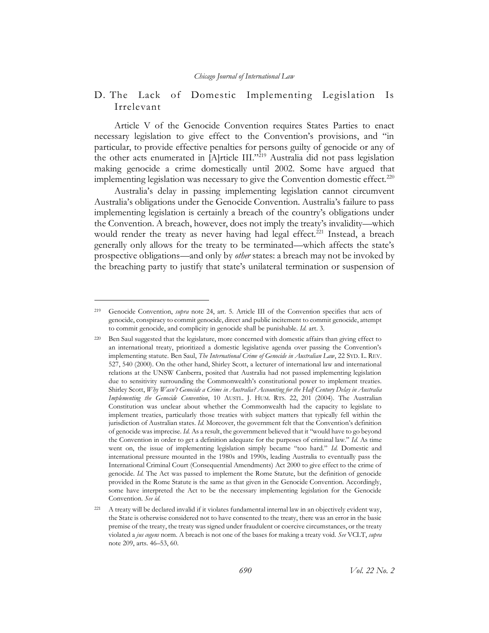# <span id="page-30-0"></span>D. The Lack of Domestic Implementing Legislation Is Irrelevant

Article V of the Genocide Convention requires States Parties to enact necessary legislation to give effect to the Convention's provisions, and "in particular, to provide effective penalties for persons guilty of genocide or any of the other acts enumerated in [A]rticle III."<sup>219</sup> Australia did not pass legislation making genocide a crime domestically until 2002. Some have argued that implementing legislation was necessary to give the Convention domestic effect.<sup>220</sup>

<span id="page-30-1"></span>Australia's delay in passing implementing legislation cannot circumvent Australia's obligations under the Genocide Convention. Australia's failure to pass implementing legislation is certainly a breach of the country's obligations under the Convention. A breach, however, does not imply the treaty's invalidity—which would render the treaty as never having had legal effect.<sup>221</sup> Instead, a breach generally only allows for the treaty to be terminated—which affects the state's prospective obligations—and only by *other* states: a breach may not be invoked by the breaching party to justify that state's unilateral termination or suspension of

<sup>219</sup> Genocide Convention, *supra* note [24,](#page-5-0) art. 5. Article III of the Convention specifies that acts of genocide, conspiracy to commit genocide, direct and public incitement to commit genocide, attempt to commit genocide, and complicity in genocide shall be punishable. *Id.* art. 3.

<sup>220</sup> Ben Saul suggested that the legislature, more concerned with domestic affairs than giving effect to an international treaty, prioritized a domestic legislative agenda over passing the Convention's implementing statute. Ben Saul, *The International Crime of Genocide in Australian Law*, 22 SYD. L. REV. 527, 540 (2000). On the other hand, Shirley Scott, a lecturer of international law and international relations at the UNSW Canberra, posited that Australia had not passed implementing legislation due to sensitivity surrounding the Commonwealth's constitutional power to implement treaties. Shirley Scott, *Why Wasn't Genocide a Crime in Australia? Accounting for the Half Century Delay in Australia Implementing the Genocide Convention*, 10 AUSTL. J. HUM. RTS. 22, 201 (2004). The Australian Constitution was unclear about whether the Commonwealth had the capacity to legislate to implement treaties, particularly those treaties with subject matters that typically fell within the jurisdiction of Australian states. *Id.* Moreover, the government felt that the Convention's definition of genocide was imprecise. *Id.* As a result, the government believed that it "would have to go beyond the Convention in order to get a definition adequate for the purposes of criminal law." *Id.* As time went on, the issue of implementing legislation simply became "too hard." *Id.* Domestic and international pressure mounted in the 1980s and 1990s, leading Australia to eventually pass the International Criminal Court (Consequential Amendments) Act 2000 to give effect to the crime of genocide. *Id.* The Act was passed to implement the Rome Statute, but the definition of genocide provided in the Rome Statute is the same as that given in the Genocide Convention. Accordingly, some have interpreted the Act to be the necessary implementing legislation for the Genocide Convention. *See id.*

<sup>221</sup> A treaty will be declared invalid if it violates fundamental internal law in an objectively evident way, the State is otherwise considered not to have consented to the treaty, there was an error in the basic premise of the treaty, the treaty was signed under fraudulent or coercive circumstances, or the treaty violated a *jus cogens* norm. A breach is not one of the bases for making a treaty void. *See* VCLT, *supra* note [209,](#page-28-1) arts. 46–53, 60.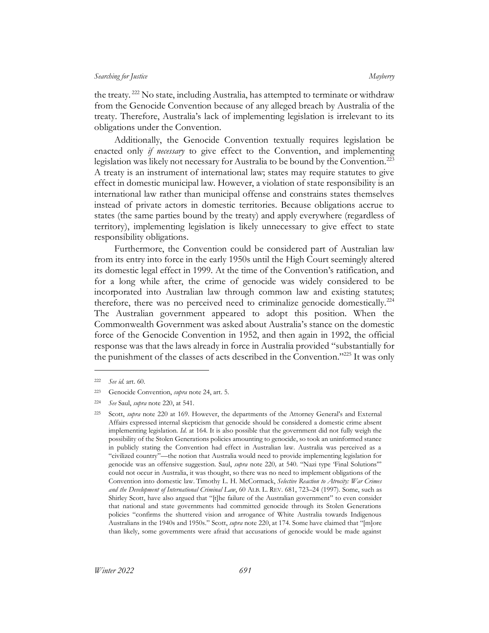the treaty. <sup>222</sup> No state, including Australia, has attempted to terminate or withdraw from the Genocide Convention because of any alleged breach by Australia of the treaty. Therefore, Australia's lack of implementing legislation is irrelevant to its obligations under the Convention.

Additionally, the Genocide Convention textually requires legislation be enacted only *if necessary* to give effect to the Convention, and implementing legislation was likely not necessary for Australia to be bound by the Convention.<sup>223</sup> A treaty is an instrument of international law; states may require statutes to give effect in domestic municipal law. However, a violation of state responsibility is an international law rather than municipal offense and constrains states themselves instead of private actors in domestic territories. Because obligations accrue to states (the same parties bound by the treaty) and apply everywhere (regardless of territory), implementing legislation is likely unnecessary to give effect to state responsibility obligations.

Furthermore, the Convention could be considered part of Australian law from its entry into force in the early 1950s until the High Court seemingly altered its domestic legal effect in 1999. At the time of the Convention's ratification, and for a long while after, the crime of genocide was widely considered to be incorporated into Australian law through common law and existing statutes; therefore, there was no perceived need to criminalize genocide domestically.<sup>224</sup> The Australian government appeared to adopt this position. When the Commonwealth Government was asked about Australia's stance on the domestic force of the Genocide Convention in 1952, and then again in 1992, the official response was that the laws already in force in Australia provided "substantially for the punishment of the classes of acts described in the Convention."<sup>225</sup> It was only

<sup>222</sup> *See id.* art. 60.

<sup>223</sup> Genocide Convention, *supra* not[e 24,](#page-5-0) art. 5.

<sup>224</sup> *See* Saul, *supra* not[e 220,](#page-30-1) at 541.

<sup>225</sup> Scott, *supra* note [220](#page-30-1) at 169. However, the departments of the Attorney General's and External Affairs expressed internal skepticism that genocide should be considered a domestic crime absent implementing legislation. *Id.* at 164. It is also possible that the government did not fully weigh the possibility of the Stolen Generations policies amounting to genocide, so took an uninformed stance in publicly stating the Convention had effect in Australian law. Australia was perceived as a "civilized country"—the notion that Australia would need to provide implementing legislation for genocide was an offensive suggestion. Saul, *supra* note [220](#page-30-1)*,* at 540. "Nazi type 'Final Solutions'" could not occur in Australia, it was thought, so there was no need to implement obligations of the Convention into domestic law. Timothy L. H. McCormack, *Selective Reaction to Atrocity: War Crimes and the Development of International Criminal Law*, 60 ALB. L. REV. 681, 723–24 (1997). Some, such as Shirley Scott, have also argued that "[t]he failure of the Australian government" to even consider that national and state governments had committed genocide through its Stolen Generations policies "confirms the shuttered vision and arrogance of White Australia towards Indigenous Australians in the 1940s and 1950s." Scott, *supra* not[e 220,](#page-30-1) at 174. Some have claimed that "[m]ore than likely, some governments were afraid that accusations of genocide would be made against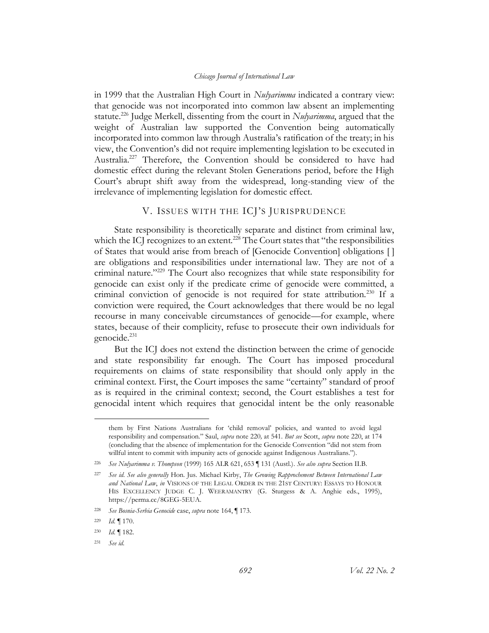in 1999 that the Australian High Court in *Nulyarimma* indicated a contrary view: that genocide was not incorporated into common law absent an implementing statute.<sup>226</sup> Judge Merkell, dissenting from the court in *Nulyarimma*, argued that the weight of Australian law supported the Convention being automatically incorporated into common law through Australia's ratification of the treaty; in his view, the Convention's did not require implementing legislation to be executed in Australia. <sup>227</sup> Therefore, the Convention should be considered to have had domestic effect during the relevant Stolen Generations period, before the High Court's abrupt shift away from the widespread, long-standing view of the irrelevance of implementing legislation for domestic effect.

## V. ISSUES WITH THE ICJ'S JURISPRUDENCE

<span id="page-32-0"></span>State responsibility is theoretically separate and distinct from criminal law, which the ICJ recognizes to an extent.<sup>228</sup> The Court states that "the responsibilities of States that would arise from breach of [Genocide Convention] obligations [ ] are obligations and responsibilities under international law. They are not of a criminal nature."<sup>229</sup> The Court also recognizes that while state responsibility for genocide can exist only if the predicate crime of genocide were committed, a criminal conviction of genocide is not required for state attribution.<sup>230</sup> If a conviction were required, the Court acknowledges that there would be no legal recourse in many conceivable circumstances of genocide—for example, where states, because of their complicity, refuse to prosecute their own individuals for genocide. $^{231}$ 

But the ICJ does not extend the distinction between the crime of genocide and state responsibility far enough. The Court has imposed procedural requirements on claims of state responsibility that should only apply in the criminal context. First, the Court imposes the same "certainty" standard of proof as is required in the criminal context; second, the Court establishes a test for genocidal intent which requires that genocidal intent be the only reasonable

them by First Nations Australians for 'child removal' policies, and wanted to avoid legal responsibility and compensation." Saul, *supra* not[e 220](#page-30-1)*,* at 541. *But see* Scott, *supra* not[e 220,](#page-30-1) at 174 (concluding that the absence of implementation for the Genocide Convention "did not stem from willful intent to commit with impunity acts of genocide against Indigenous Australians.").

<sup>226</sup> *See Nulyarimma v. Thompson* (1999) 165 ALR 621, 653 ¶ 131 (Austl.). *See also supra* Section [II.B.](#page-12-0) 

<sup>227</sup> *See id. See also generally* Hon. Jus. Michael Kirby, *The Growing Rapprochement Between International Law and National Law*, *in* VISIONS OF THE LEGAL ORDER IN THE 21ST CENTURY: ESSAYS TO HONOUR HIS EXCELLENCY JUDGE C. J. WEERAMANTRY (G. Sturgess & A. Anghie eds., 1995), https://perma.cc/8GEG-5EUA.

<sup>228</sup> *See Bosnia-Serbia Genocide* case, *supra* note [164,](#page-21-1) ¶ 173.

<sup>229</sup> *Id.* ¶ 170.

<sup>230</sup> *Id.* ¶ 182.

<sup>231</sup> *See id.*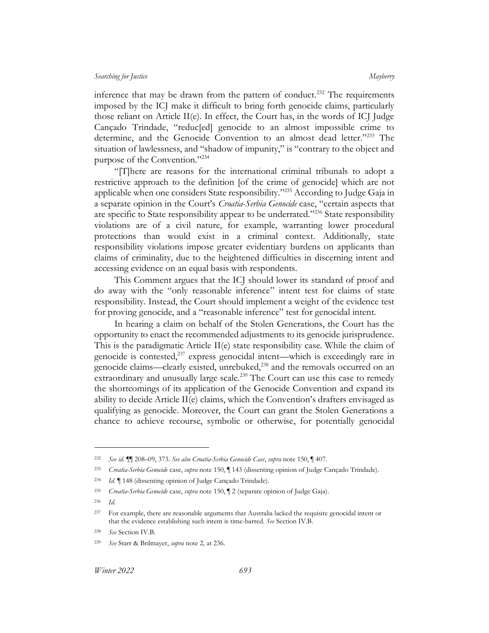inference that may be drawn from the pattern of conduct.<sup>232</sup> The requirements imposed by the ICJ make it difficult to bring forth genocide claims, particularly those reliant on Article II(e). In effect, the Court has, in the words of ICJ Judge Cançado Trindade, "reduc[ed] genocide to an almost impossible crime to determine, and the Genocide Convention to an almost dead letter."<sup>233</sup> The situation of lawlessness, and "shadow of impunity," is "contrary to the object and purpose of the Convention."<sup>234</sup>

"[T]here are reasons for the international criminal tribunals to adopt a restrictive approach to the definition [of the crime of genocide] which are not applicable when one considers State responsibility." <sup>235</sup> According to Judge Gaja in a separate opinion in the Court's *Croatia-Serbia Genocide* case, "certain aspects that are specific to State responsibility appear to be underrated."<sup>236</sup> State responsibility violations are of a civil nature, for example, warranting lower procedural protections than would exist in a criminal context. Additionally, state responsibility violations impose greater evidentiary burdens on applicants than claims of criminality, due to the heightened difficulties in discerning intent and accessing evidence on an equal basis with respondents.

This Comment argues that the ICJ should lower its standard of proof and do away with the "only reasonable inference" intent test for claims of state responsibility. Instead, the Court should implement a weight of the evidence test for proving genocide, and a "reasonable inference" test for genocidal intent.

In hearing a claim on behalf of the Stolen Generations, the Court has the opportunity to enact the recommended adjustments to its genocide jurisprudence. This is the paradigmatic Article II(e) state responsibility case. While the claim of genocide is contested,<sup>237</sup> express genocidal intent—which is exceedingly rare in genocide claims—clearly existed, unrebuked,<sup>238</sup> and the removals occurred on an extraordinary and unusually large scale.<sup>239</sup> The Court can use this case to remedy the shortcomings of its application of the Genocide Convention and expand its ability to decide Article II(e) claims, which the Convention's drafters envisaged as qualifying as genocide. Moreover, the Court can grant the Stolen Generations a chance to achieve recourse, symbolic or otherwise, for potentially genocidal

<sup>232</sup> *See id.* ¶¶ 208–09, 373*. See also Croatia-Serbia Genocide Case*, *supra* note [150,](#page-19-2) ¶ 407.

<sup>233</sup> *Croatia-Serbia Genocide* case, *supra* note [150,](#page-19-2) ¶ 143 (dissenting opinion of Judge Cançado Trindade).

<sup>234</sup> *Id.* ¶ 148 (dissenting opinion of Judge Cançado Trindade).

<sup>235</sup> *Croatia-Serbia Genocide* case, *supra* note [150,](#page-19-2) ¶ 2 (separate opinion of Judge Gaja).

<sup>236</sup> *Id.*

<sup>237</sup> For example, there are reasonable arguments that Australia lacked the requisite genocidal intent or that the evidence establishing such intent is time-barred. *See* Sectio[n IV.B.](#page-25-0)

<sup>238</sup> *See* Section [IV.B.](#page-25-0)

<sup>239</sup> *See* Starr & Brilmayer, *supra* note [2](#page-3-1)*,* at 236.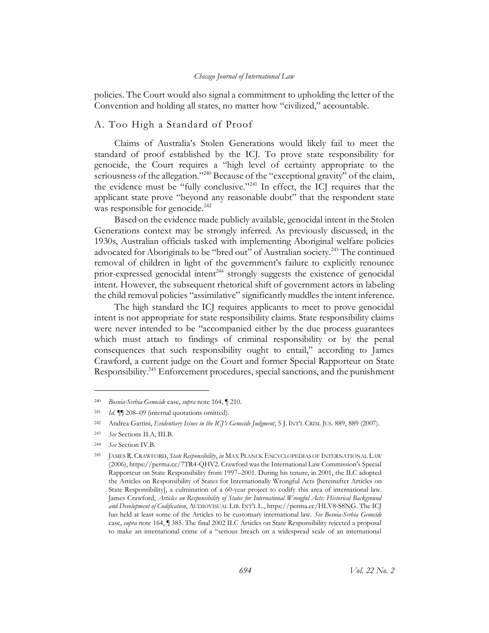policies. The Court would also signal a commitment to upholding the letter of the Convention and holding all states, no matter how "civilized," accountable.

# <span id="page-34-0"></span>A. Too High a Standard of Proof

Claims of Australia's Stolen Generations would likely fail to meet the standard of proof established by the ICJ. To prove state responsibility for genocide, the Court requires a "high level of certainty appropriate to the seriousness of the allegation."<sup>240</sup> Because of the "exceptional gravity" of the claim, the evidence must be "fully conclusive."<sup>241</sup> In effect, the ICJ requires that the applicant state prove "beyond any reasonable doubt" that the respondent state was responsible for genocide.<sup>242</sup>

Based on the evidence made publicly available, genocidal intent in the Stolen Generations context may be strongly inferred. As previously discussed, in the 1930s, Australian officials tasked with implementing Aboriginal welfare policies advocated for Aboriginals to be "bred out" of Australian society.<sup>243</sup> The continued removal of children in light of the government's failure to explicitly renounce prior-expressed genocidal intent<sup>244</sup> strongly suggests the existence of genocidal intent. However, the subsequent rhetorical shift of government actors in labeling the child removal policies "assimilative" significantly muddles the intent inference.

The high standard the ICJ requires applicants to meet to prove genocidal intent is not appropriate for state responsibility claims. State responsibility claims were never intended to be "accompanied either by the due process guarantees which must attach to findings of criminal responsibility or by the penal consequences that such responsibility ought to entail," according to James Crawford, a current judge on the Court and former Special Rapporteur on State Responsibility.<sup>245</sup> Enforcement procedures, special sanctions, and the punishment

<span id="page-34-1"></span><sup>240</sup> *Bosnia-Serbia Genocide* case, *supra* note [164,](#page-21-1) ¶ 210.

<sup>241</sup> *Id.* ¶¶ 208–09 (internal quotations omitted).

<sup>242</sup> Andrea Gattini, *Evidentiary Issues in the ICJ's Genocide Judgment*, 5 J. INT'L CRIM. JUS. 889, 889 (2007).

<sup>243</sup> *See* Section[s II.A,](#page-6-1) [III.B.](#page-20-0)

<sup>244</sup> *See* Section [IV.B.](#page-25-0)

<sup>245</sup> JAMES R. CRAWFORD, *State Responsibility*, *in* MAX PLANCK ENCYCLOPEDIAS OF INTERNATIONAL LAW (2006), https://perma.cc/7TR4-QHV2. Crawford was the International Law Commission's Special Rapporteur on State Responsibility from 1997–2001. During his tenure, in 2001, the ILC adopted the Articles on Responsibility of States for Internationally Wrongful Acts [hereinafter Articles on State Responsibility], a culmination of a 60-year project to codify this area of international law. James Crawford, *Articles on Responsibility of States for International Wrongful Acts: Historical Background and Development of Codification*, AUDIOVISUAL LIB.INT'L L., https://perma.cc/HLV8-S8NG. The ICJ has held at least some of the Articles to be customary international law. *See Bosnia-Serbia Genocide*  case, *supra* note [164,](#page-21-1) ¶ 385. The final 2002 ILC Articles on State Responsibility rejected a proposal to make an international crime of a "serious breach on a widespread scale of an international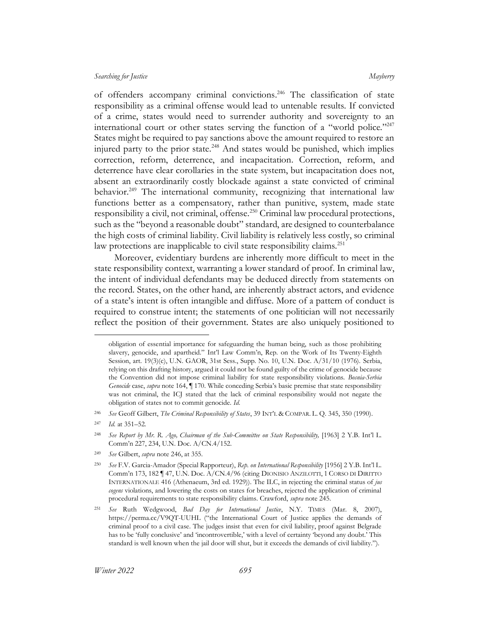<span id="page-35-0"></span>of offenders accompany criminal convictions. <sup>246</sup> The classification of state responsibility as a criminal offense would lead to untenable results. If convicted of a crime, states would need to surrender authority and sovereignty to an international court or other states serving the function of a "world police."<sup>247</sup> States might be required to pay sanctions above the amount required to restore an injured party to the prior state.<sup>248</sup> And states would be punished, which implies correction, reform, deterrence, and incapacitation. Correction, reform, and deterrence have clear corollaries in the state system, but incapacitation does not, absent an extraordinarily costly blockade against a state convicted of criminal behavior.<sup>249</sup> The international community, recognizing that international law functions better as a compensatory, rather than punitive, system, made state responsibility a civil, not criminal, offense.<sup>250</sup> Criminal law procedural protections, such as the "beyond a reasonable doubt" standard, are designed to counterbalance the high costs of criminal liability. Civil liability is relatively less costly, so criminal law protections are inapplicable to civil state responsibility claims.<sup>251</sup>

Moreover, evidentiary burdens are inherently more difficult to meet in the state responsibility context, warranting a lower standard of proof. In criminal law, the intent of individual defendants may be deduced directly from statements on the record. States, on the other hand, are inherently abstract actors, and evidence of a state's intent is often intangible and diffuse. More of a pattern of conduct is required to construe intent; the statements of one politician will not necessarily reflect the position of their government. States are also uniquely positioned to

obligation of essential importance for safeguarding the human being, such as those prohibiting slavery, genocide, and apartheid." Int'l Law Comm'n, Rep. on the Work of Its Twenty-Eighth Session, art. 19(3)(c), U.N. GAOR, 31st Sess., Supp. No. 10, U.N. Doc. A/31/10 (1976). Serbia, relying on this drafting history, argued it could not be found guilty of the crime of genocide because the Convention did not impose criminal liability for state responsibility violations. *Bosnia-Serbia Genocide* case, *supra* note [164,](#page-21-1) ¶ 170. While conceding Serbia's basic premise that state responsibility was not criminal, the ICJ stated that the lack of criminal responsibility would not negate the obligation of states not to commit genocide. *Id.*

<sup>246</sup> *See* Geoff Gilbert, *The Criminal Responsibility of States*, 39 INT'L & COMPAR. L. Q. 345, 350 (1990).

<sup>247</sup> *Id.* at 351–52.

<sup>248</sup> *See Report by Mr. R. Ago, Chairman of the Sub-Committee on State Responsibility,* [1963] 2 Y.B. Int'l L. Comm'n 227, 234, U.N. Doc. A/CN.4/152.

<sup>249</sup> *See* Gilbert, *supra* note [246,](#page-35-0) at 355.

<sup>250</sup> *See* F.V. Garcia-Amador (Special Rapporteur), *Rep. on International Responsibility* [1956] 2 Y.B. Int'l L. Comm'n 173, 182 ¶ 47, U.N. Doc. A/CN.4/96 (citing DIONISIO ANZILOTTI, 1 CORSO DI DIRITTO INTERNATIONALE 416 (Athenaeum, 3rd ed. 1929)). The ILC, in rejecting the criminal status of *jus cogens* violations, and lowering the costs on states for breaches, rejected the application of criminal procedural requirements to state responsibility claims. Crawford, *supra* note [245.](#page-34-1)

<sup>251</sup> *See* Ruth Wedgwood, *Bad Day for International Justice*, N.Y. TIMES (Mar. 8, 2007), https://perma.cc/V9QT-UUHL ("the International Court of Justice applies the demands of criminal proof to a civil case. The judges insist that even for civil liability, proof against Belgrade has to be 'fully conclusive' and 'incontrovertible,' with a level of certainty 'beyond any doubt.' This standard is well known when the jail door will shut, but it exceeds the demands of civil liability.").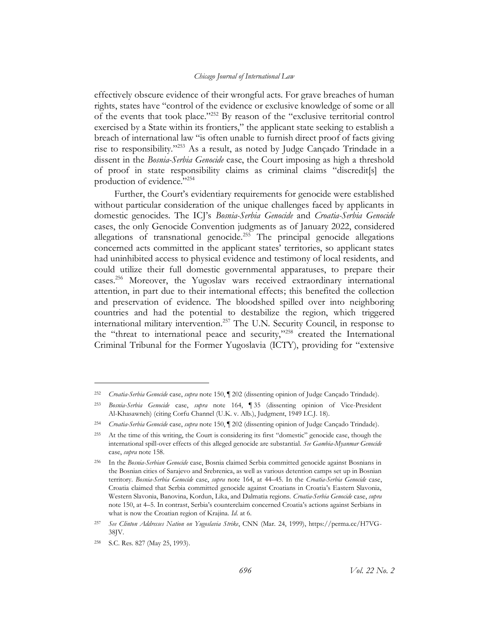effectively obscure evidence of their wrongful acts. For grave breaches of human rights, states have "control of the evidence or exclusive knowledge of some or all of the events that took place."<sup>252</sup> By reason of the "exclusive territorial control exercised by a State within its frontiers," the applicant state seeking to establish a breach of international law "is often unable to furnish direct proof of facts giving rise to responsibility."<sup>253</sup> As a result, as noted by Judge Cançado Trindade in a dissent in the *Bosnia-Serbia Genocide* case, the Court imposing as high a threshold of proof in state responsibility claims as criminal claims "discredit[s] the production of evidence."254

Further, the Court's evidentiary requirements for genocide were established without particular consideration of the unique challenges faced by applicants in domestic genocides. The ICJ's *Bosnia-Serbia Genocide* and *Croatia-Serbia Genocide*  cases, the only Genocide Convention judgments as of January 2022, considered allegations of transnational genocide.<sup>255</sup> The principal genocide allegations concerned acts committed in the applicant states' territories, so applicant states had uninhibited access to physical evidence and testimony of local residents, and could utilize their full domestic governmental apparatuses, to prepare their cases.<sup>256</sup> Moreover, the Yugoslav wars received extraordinary international attention, in part due to their international effects; this benefited the collection and preservation of evidence. The bloodshed spilled over into neighboring countries and had the potential to destabilize the region, which triggered international military intervention.<sup>257</sup> The U.N. Security Council, in response to the "threat to international peace and security,"<sup>258</sup> created the International Criminal Tribunal for the Former Yugoslavia (ICTY), providing for "extensive

<sup>252</sup> *Croatia-Serbia Genocide* case, *supra* note [150,](#page-19-2) ¶ 202 (dissenting opinion of Judge Cançado Trindade).

<sup>253</sup> *Bosnia-Serbia Genocide* case, *supra* note [164,](#page-21-1) ¶ 35 (dissenting opinion of Vice-President Al-Khasawneh) (citing Corfu Channel (U.K. v. Alb.), Judgment, 1949 I.C.J. 18).

<sup>254</sup> *Croatia-Serbia Genocide* case, *supra* note [150,](#page-19-2) ¶ 202 (dissenting opinion of Judge Cançado Trindade).

<sup>255</sup> At the time of this writing, the Court is considering its first "domestic" genocide case, though the international spill-over effects of this alleged genocide are substantial. *See Gambia-Myanmar Genocide* case, *supra* not[e 158.](#page-20-2)

<sup>256</sup> In the *Bosnia-Serbian Genocide* case, Bosnia claimed Serbia committed genocide against Bosnians in the Bosnian cities of Sarajevo and Srebrenica, as well as various detention camps set up in Bosnian territory. *Bosnia-Serbia Genocide* case, *supra* note [164,](#page-21-1) at 44–45. In the *Croatia-Serbia Genocide* case, Croatia claimed that Serbia committed genocide against Croatians in Croatia's Eastern Slavonia, Western Slavonia, Banovina, Kordun, Lika, and Dalmatia regions. *Croatia-Serbia Genocide* case, *supra* note [150,](#page-19-2) at 4–5. In contrast, Serbia's counterclaim concerned Croatia's actions against Serbians in what is now the Croatian region of Krajina. *Id.* at 6.

<sup>257</sup> *See Clinton Addresses Nation on Yugoslavia Strike*, CNN (Mar. 24, 1999), https://perma.cc/H7VG-38JV.

<sup>258</sup> S.C. Res. 827 (May 25, 1993).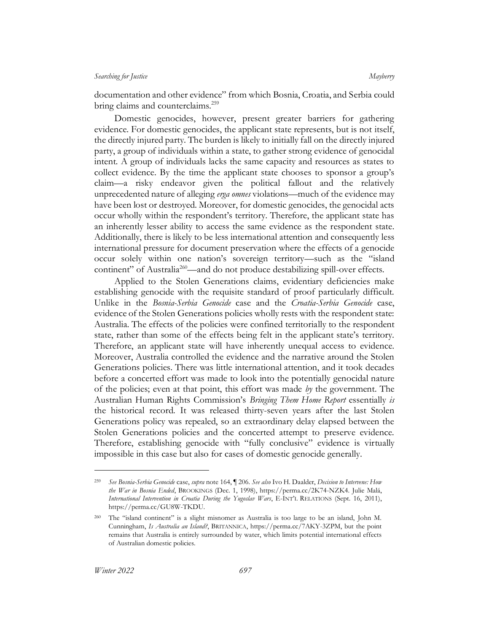documentation and other evidence" from which Bosnia, Croatia, and Serbia could bring claims and counterclaims.<sup>259</sup>

Domestic genocides, however, present greater barriers for gathering evidence. For domestic genocides, the applicant state represents, but is not itself, the directly injured party. The burden is likely to initially fall on the directly injured party, a group of individuals within a state, to gather strong evidence of genocidal intent. A group of individuals lacks the same capacity and resources as states to collect evidence. By the time the applicant state chooses to sponsor a group's claim—a risky endeavor given the political fallout and the relatively unprecedented nature of alleging *erga omnes* violations—much of the evidence may have been lost or destroyed. Moreover, for domestic genocides, the genocidal acts occur wholly within the respondent's territory. Therefore, the applicant state has an inherently lesser ability to access the same evidence as the respondent state. Additionally, there is likely to be less international attention and consequently less international pressure for document preservation where the effects of a genocide occur solely within one nation's sovereign territory—such as the "island continent" of Australia<sup>260</sup>—and do not produce destabilizing spill-over effects.

Applied to the Stolen Generations claims, evidentiary deficiencies make establishing genocide with the requisite standard of proof particularly difficult. Unlike in the *Bosnia-Serbia Genocide* case and the *Croatia-Serbia Genocide* case, evidence of the Stolen Generations policies wholly rests with the respondent state: Australia. The effects of the policies were confined territorially to the respondent state, rather than some of the effects being felt in the applicant state's territory. Therefore, an applicant state will have inherently unequal access to evidence. Moreover, Australia controlled the evidence and the narrative around the Stolen Generations policies. There was little international attention, and it took decades before a concerted effort was made to look into the potentially genocidal nature of the policies; even at that point, this effort was made *by* the government. The Australian Human Rights Commission's *Bringing Them Home Report* essentially *is* the historical record. It was released thirty-seven years after the last Stolen Generations policy was repealed, so an extraordinary delay elapsed between the Stolen Generations policies and the concerted attempt to preserve evidence. Therefore, establishing genocide with "fully conclusive" evidence is virtually impossible in this case but also for cases of domestic genocide generally.

<sup>259</sup> *See Bosnia-Serbia Genocide* case, *supra* note [164,](#page-21-1) ¶ 206. *See also* Ivo H. Daalder, *Decision to Intervene: How the War in Bosnia Ended*, BROOKINGS (Dec. 1, 1998), https://perma.cc/2K74-NZK4. Julie Malá, *International Intervention in Croatia During the Yugoslav Wars*, E-INT'L RELATIONS (Sept. 16, 2011), https://perma.cc/GU8W-TKDU.

The "island continent" is a slight misnomer as Australia is too large to be an island, John M. Cunningham, *Is Australia an Island?*, BRITANNICA, https://perma.cc/7AKY-3ZPM, but the point remains that Australia is entirely surrounded by water, which limits potential international effects of Australian domestic policies.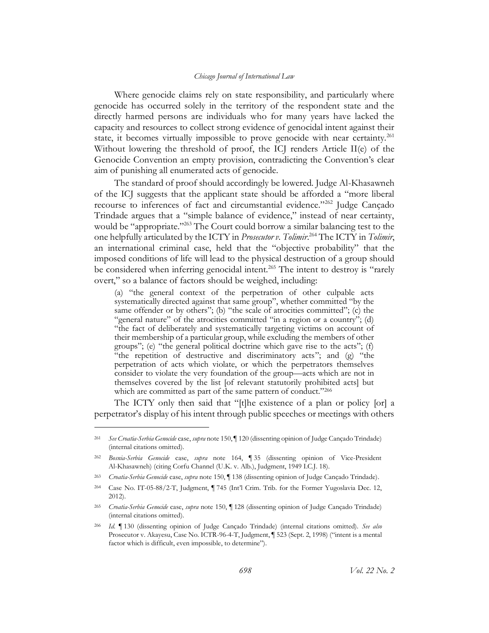Where genocide claims rely on state responsibility, and particularly where genocide has occurred solely in the territory of the respondent state and the directly harmed persons are individuals who for many years have lacked the capacity and resources to collect strong evidence of genocidal intent against their state, it becomes virtually impossible to prove genocide with near certainty.<sup>261</sup> Without lowering the threshold of proof, the ICJ renders Article II(e) of the Genocide Convention an empty provision, contradicting the Convention's clear aim of punishing all enumerated acts of genocide.

The standard of proof should accordingly be lowered. Judge Al-Khasawneh of the ICJ suggests that the applicant state should be afforded a "more liberal recourse to inferences of fact and circumstantial evidence."<sup>262</sup> Judge Cancado Trindade argues that a "simple balance of evidence," instead of near certainty, would be "appropriate."<sup>263</sup> The Court could borrow a similar balancing test to the one helpfully articulated by the ICTY in *Prosecutor v. Tolimir*. <sup>264</sup> The ICTY in *Tolimir*, an international criminal case, held that the "objective probability" that the imposed conditions of life will lead to the physical destruction of a group should be considered when inferring genocidal intent.<sup>265</sup> The intent to destroy is "rarely overt," so a balance of factors should be weighed, including:

(a) "the general context of the perpetration of other culpable acts systematically directed against that same group", whether committed "by the same offender or by others"; (b) "the scale of atrocities committed"; (c) the "general nature" of the atrocities committed "in a region or a country"; (d) "the fact of deliberately and systematically targeting victims on account of their membership of a particular group, while excluding the members of other groups"; (e) "the general political doctrine which gave rise to the acts"; (f) "the repetition of destructive and discriminatory acts"; and (g) "the perpetration of acts which violate, or which the perpetrators themselves consider to violate the very foundation of the group—acts which are not in themselves covered by the list [of relevant statutorily prohibited acts] but which are committed as part of the same pattern of conduct."266

The ICTY only then said that "[t]he existence of a plan or policy [or] a perpetrator's display of his intent through public speeches or meetings with others

<sup>261</sup> *See Croatia-Serbia Genocide* case, *supra* not[e 150,](#page-19-2) ¶ 120 (dissenting opinion of Judge Cançado Trindade) (internal citations omitted).

<sup>262</sup> *Bosnia-Serbia Genocide* case, *supra* note [164,](#page-21-1) ¶ 35 (dissenting opinion of Vice-President Al-Khasawneh) (citing Corfu Channel (U.K. v. Alb.), Judgment, 1949 I.C.J. 18).

<sup>263</sup> *Croatia-Serbia Genocide* case, *supra* note [150,](#page-19-2) ¶ 138 (dissenting opinion of Judge Cançado Trindade).

<sup>264</sup> Case No. IT-05-88/2-T, Judgment, ¶ 745 (Int'l Crim. Trib. for the Former Yugoslavia Dec. 12, 2012).

<sup>265</sup> *Croatia-Serbia Genocide* case, *supra* note [150,](#page-19-2) ¶ 128 (dissenting opinion of Judge Cançado Trindade) (internal citations omitted).

<sup>266</sup> *Id.* ¶ 130 (dissenting opinion of Judge Cançado Trindade) (internal citations omitted). *See also*  Prosecutor v. Akayesu, Case No. ICTR-96-4-T, Judgment, ¶ 523 (Sept. 2, 1998) ("intent is a mental factor which is difficult, even impossible, to determine").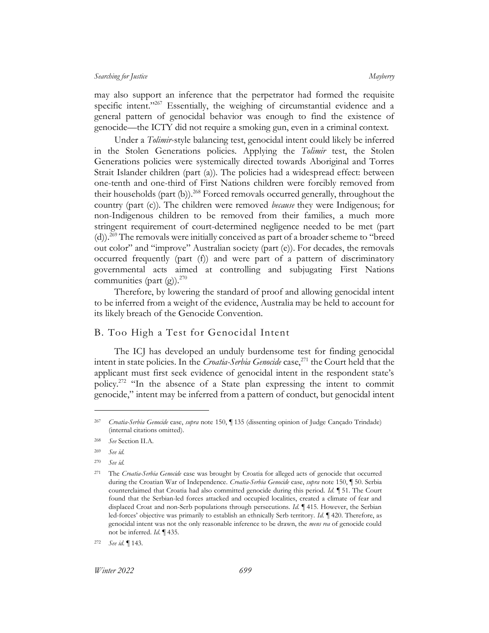may also support an inference that the perpetrator had formed the requisite specific intent."<sup>267</sup> Essentially, the weighing of circumstantial evidence and a general pattern of genocidal behavior was enough to find the existence of genocide—the ICTY did not require a smoking gun, even in a criminal context.

Under a *Tolimir*-style balancing test, genocidal intent could likely be inferred in the Stolen Generations policies. Applying the *Tolimir* test, the Stolen Generations policies were systemically directed towards Aboriginal and Torres Strait Islander children (part (a)). The policies had a widespread effect: between one-tenth and one-third of First Nations children were forcibly removed from their households (part (b)).<sup>268</sup> Forced removals occurred generally, throughout the country (part (c)). The children were removed *because* they were Indigenous; for non-Indigenous children to be removed from their families, a much more stringent requirement of court-determined negligence needed to be met (part (d)).<sup>269</sup> The removals were initially conceived as part of a broader scheme to "breed out color" and "improve" Australian society (part (e)). For decades, the removals occurred frequently (part (f)) and were part of a pattern of discriminatory governmental acts aimed at controlling and subjugating First Nations communities (part  $(g)$ ).<sup>270</sup>

Therefore, by lowering the standard of proof and allowing genocidal intent to be inferred from a weight of the evidence, Australia may be held to account for its likely breach of the Genocide Convention.

# <span id="page-39-0"></span>B. Too High a Test for Genocidal Intent

The ICJ has developed an unduly burdensome test for finding genocidal intent in state policies. In the *Croatia-Serbia Genocide* case,<sup>271</sup> the Court held that the applicant must first seek evidence of genocidal intent in the respondent state's policy.<sup>272</sup> "In the absence of a State plan expressing the intent to commit genocide," intent may be inferred from a pattern of conduct, but genocidal intent

<sup>267</sup> *Croatia-Serbia Genocide* case, *supra* note [150,](#page-19-2) ¶ 135 (dissenting opinion of Judge Cançado Trindade) (internal citations omitted).

<sup>268</sup> *See* Section [II.A.](#page-6-1) 

<sup>269</sup> *See id.*

<sup>270</sup> *See id.*

<sup>271</sup> The *Croatia-Serbia Genocide* case was brought by Croatia for alleged acts of genocide that occurred during the Croatian War of Independence. *Croatia-Serbia Genocide* case, *supra* note [150,](#page-19-2) ¶ 50. Serbia counterclaimed that Croatia had also committed genocide during this period. *Id.* ¶ 51. The Court found that the Serbian-led forces attacked and occupied localities, created a climate of fear and displaced Croat and non-Serb populations through persecutions. *Id.* ¶ 415. However, the Serbian led-forces' objective was primarily to establish an ethnically Serb territory. *Id.* ¶ 420. Therefore, as genocidal intent was not the only reasonable inference to be drawn, the *mens rea* of genocide could not be inferred. *Id.* ¶ 435.

<sup>272</sup> *See id.* ¶ 143.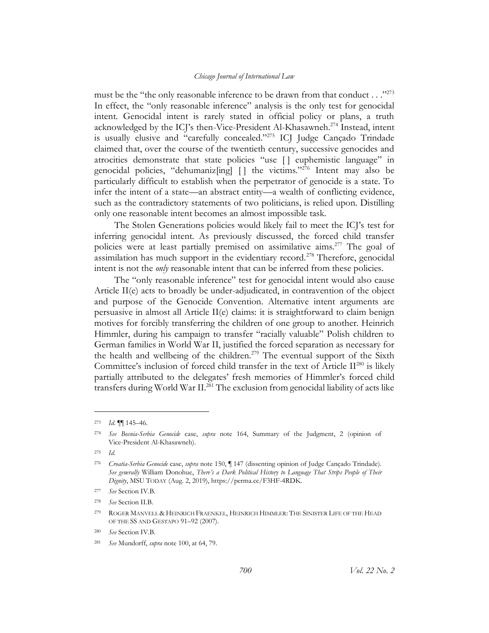must be the "the only reasonable inference to be drawn from that conduct . . ."<sup>273</sup> In effect, the "only reasonable inference" analysis is the only test for genocidal intent. Genocidal intent is rarely stated in official policy or plans, a truth acknowledged by the ICJ's then-Vice-President Al-Khasawneh.<sup>274</sup> Instead, intent is usually elusive and "carefully concealed."<sup>275</sup> ICJ Judge Cançado Trindade claimed that, over the course of the twentieth century, successive genocides and atrocities demonstrate that state policies "use [ ] euphemistic language" in genocidal policies, "dehumaniz[ing] [] the victims."<sup>276</sup> Intent may also be particularly difficult to establish when the perpetrator of genocide is a state. To infer the intent of a state—an abstract entity—a wealth of conflicting evidence, such as the contradictory statements of two politicians, is relied upon. Distilling only one reasonable intent becomes an almost impossible task.

The Stolen Generations policies would likely fail to meet the ICJ's test for inferring genocidal intent. As previously discussed, the forced child transfer policies were at least partially premised on assimilative aims.<sup>277</sup> The goal of assimilation has much support in the evidentiary record.<sup>278</sup> Therefore, genocidal intent is not the *only* reasonable intent that can be inferred from these policies.

The "only reasonable inference" test for genocidal intent would also cause Article II(e) acts to broadly be under-adjudicated, in contravention of the object and purpose of the Genocide Convention. Alternative intent arguments are persuasive in almost all Article II(e) claims: it is straightforward to claim benign motives for forcibly transferring the children of one group to another. Heinrich Himmler, during his campaign to transfer "racially valuable" Polish children to German families in World War II, justified the forced separation as necessary for the health and wellbeing of the children.<sup>279</sup> The eventual support of the Sixth Committee's inclusion of forced child transfer in the text of Article  $\mathrm{II}^{280}$  is likely partially attributed to the delegates' fresh memories of Himmler's forced child transfers during World War II.<sup>281</sup> The exclusion from genocidal liability of acts like

<sup>273</sup> *Id.* ¶¶ 145–46.

<sup>274</sup> *See Bosnia-Serbia Genocide* case, *supra* note [164,](#page-21-1) Summary of the Judgment, 2 (opinion of Vice-President Al-Khasawneh).

<sup>275</sup> *Id.*

<sup>276</sup> *Croatia-Serbia Genocide* case, *supra* note [150,](#page-19-2) ¶ 147 (dissenting opinion of Judge Cançado Trindade). *See generally* William Donohue, *There's a Dark Political History to Language That Strips People of Their Dignity*, MSU TODAY (Aug. 2, 2019), https://perma.cc/F3HF-4RDK.

<sup>277</sup> *See* Section [IV.B.](#page-25-0) 

<sup>278</sup> *See* Section [II.B.](#page-12-0)

<sup>279</sup> ROGER MANVELL & HEINRICH FRAENKEL, HEINRICH HIMMLER: THE SINISTER LIFE OF THE HEAD OF THE SS AND GESTAPO 91–92 (2007).

<sup>280</sup> *See* Section [IV.B.](#page-25-0)

<sup>281</sup> *See* Mundorff, *supra* note [100,](#page-13-0) at 64, 79.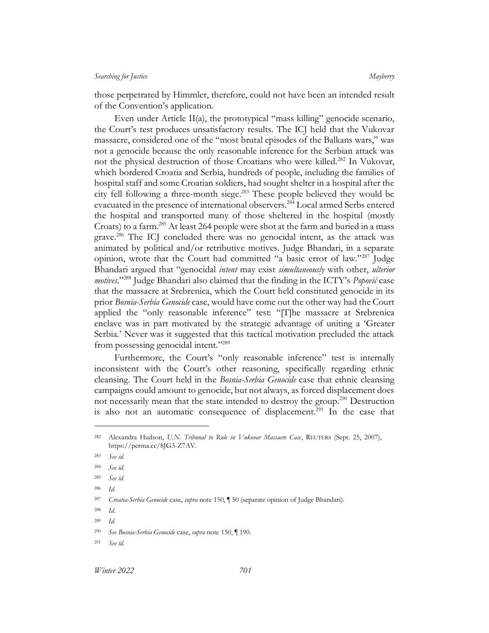those perpetrated by Himmler, therefore, could not have been an intended result of the Convention's application.

Even under Article II(a), the prototypical "mass killing" genocide scenario, the Court's test produces unsatisfactory results. The ICJ held that the Vukovar massacre, considered one of the "most brutal episodes of the Balkans wars," was not a genocide because the only reasonable inference for the Serbian attack was not the physical destruction of those Croatians who were killed.<sup>282</sup> In Vukovar, which bordered Croatia and Serbia, hundreds of people, including the families of hospital staff and some Croatian soldiers, had sought shelter in a hospital after the city fell following a three-month siege.<sup>283</sup> These people believed they would be evacuated in the presence of international observers.<sup>284</sup> Local armed Serbs entered the hospital and transported many of those sheltered in the hospital (mostly Croats) to a farm.<sup>285</sup> At least 264 people were shot at the farm and buried in a mass grave.<sup>286</sup> The ICJ concluded there was no genocidal intent, as the attack was animated by political and/or retributive motives. Judge Bhandari, in a separate opinion, wrote that the Court had committed "a basic error of law."<sup>287</sup> Judge Bhandari argued that "genocidal *intent* may exist *simultaneously* with other, *ulterior motives.*" <sup>288</sup> Judge Bhandari also claimed that the finding in the ICTY's *Popović* case that the massacre at Srebrenica, which the Court held constituted genocide in its prior *Bosnia-Serbia Genocide* case, would have come out the other way had the Court applied the "only reasonable inference" test: "[T]he massacre at Srebrenica enclave was in part motivated by the strategic advantage of uniting a 'Greater Serbia.' Never was it suggested that this tactical motivation precluded the attack from possessing genocidal intent."<sup>289</sup>

Furthermore, the Court's "only reasonable inference" test is internally inconsistent with the Court's other reasoning, specifically regarding ethnic cleansing. The Court held in the *Bosnia-Serbia Genocide* case that ethnic cleansing campaigns could amount to genocide, but not always, as forced displacement does not necessarily mean that the state intended to destroy the group.<sup>290</sup> Destruction is also not an automatic consequence of displacement.<sup>291</sup> In the case that

<sup>282</sup> Alexandra Hudson, *U.N. Tribunal to Rule in Vukovar Massacre Case*, REUTERS (Sept. 25, 2007), https://perma.cc/8JG3-Z7AV.

<sup>283</sup> *See id.*

<sup>284</sup> *See id.*

<sup>285</sup> *See id.*

<sup>286</sup> *Id*.

<sup>287</sup> *Croatia-Serbia Genocide* case, *supra* note [150,](#page-19-2) ¶ 50 (separate opinion of Judge Bhandari).

<sup>288</sup> *Id*.

<sup>289</sup> *Id.*

<sup>290</sup> *See Bosnia-Serbia Genocide* case, *supra* note [150,](#page-19-2) ¶ 190.

<sup>291</sup> *See id.*